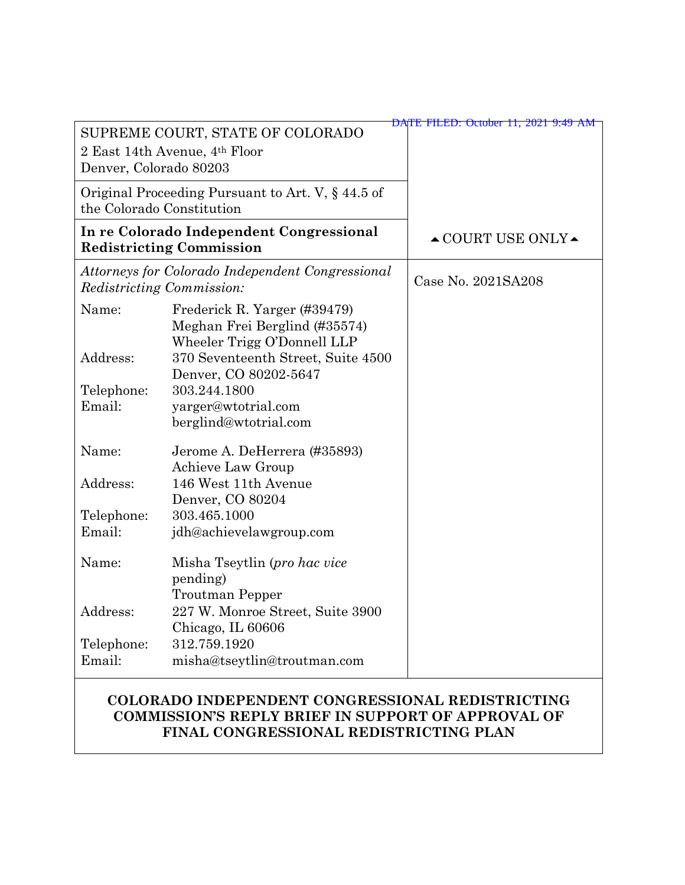| Denver, Colorado 80203                                                               | SUPREME COURT, STATE OF COLORADO<br>2 East 14th Avenue, 4th Floor                            | DATE FILED: October 11, 2021 9:49 AM   |
|--------------------------------------------------------------------------------------|----------------------------------------------------------------------------------------------|----------------------------------------|
| Original Proceeding Pursuant to Art. V, § 44.5 of<br>the Colorado Constitution       |                                                                                              |                                        |
| In re Colorado Independent Congressional<br><b>Redistricting Commission</b>          |                                                                                              | $\triangle$ COURT USE ONLY $\triangle$ |
| Attorneys for Colorado Independent Congressional<br><i>Redistricting Commission:</i> |                                                                                              | Case No. 2021SA208                     |
| Name:                                                                                | Frederick R. Yarger (#39479)<br>Meghan Frei Berglind (#35574)<br>Wheeler Trigg O'Donnell LLP |                                        |
| Address:                                                                             | 370 Seventeenth Street, Suite 4500<br>Denver, CO 80202-5647                                  |                                        |
| Telephone:                                                                           | 303.244.1800                                                                                 |                                        |
| Email:                                                                               | yarger@wtotrial.com<br>berglind@wtotrial.com                                                 |                                        |
| Name:                                                                                | Jerome A. DeHerrera (#35893)<br>Achieve Law Group                                            |                                        |
| Address:                                                                             | 146 West 11th Avenue<br>Denver, CO 80204                                                     |                                        |
| Telephone:                                                                           | 303.465.1000                                                                                 |                                        |
| Email:                                                                               | jdh@achievelawgroup.com                                                                      |                                        |
| Name:                                                                                | Misha Tseytlin (pro hac vice<br>pending)<br><b>Troutman Pepper</b>                           |                                        |
| Address:                                                                             | 227 W. Monroe Street, Suite 3900<br>Chicago, IL 60606                                        |                                        |
| Telephone:                                                                           | 312.759.1920                                                                                 |                                        |
| Email:                                                                               | misha@tseytlin@troutman.com                                                                  |                                        |

#### **COLORADO INDEPENDENT CONGRESSIONAL REDISTRICTING COMMISSION'S REPLY BRIEF IN SUPPORT OF APPROVAL OF FINAL CONGRESSIONAL REDISTRICTING PLAN**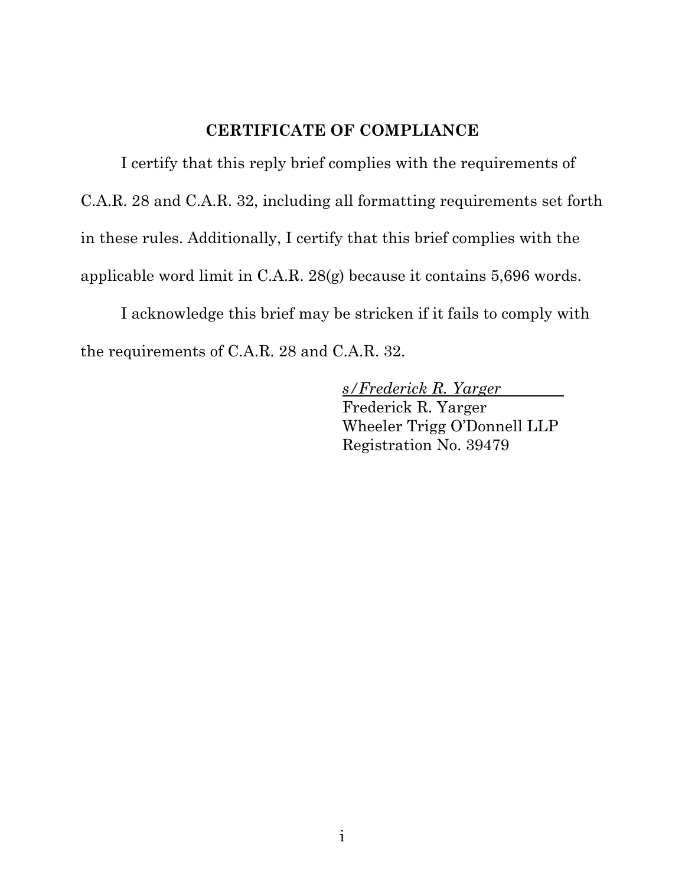#### **CERTIFICATE OF COMPLIANCE**

I certify that this reply brief complies with the requirements of C.A.R. 28 and C.A.R. 32, including all formatting requirements set forth in these rules. Additionally, I certify that this brief complies with the applicable word limit in C.A.R. 28(g) because it contains 5,696 words.

I acknowledge this brief may be stricken if it fails to comply with the requirements of C.A.R. 28 and C.A.R. 32.

> *s/Frederick R. Yarger*  Frederick R. Yarger Wheeler Trigg O'Donnell LLP Registration No. 39479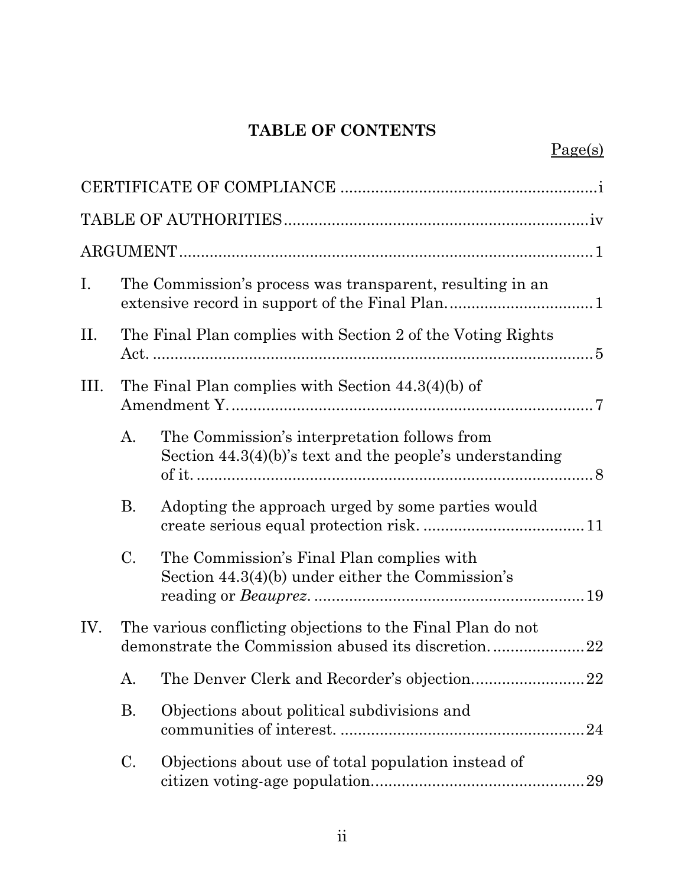# **TABLE OF CONTENTS**

| Ι.  |                                                                                                                   | The Commission's process was transparent, resulting in an                                                   |  |
|-----|-------------------------------------------------------------------------------------------------------------------|-------------------------------------------------------------------------------------------------------------|--|
| П.  |                                                                                                                   | The Final Plan complies with Section 2 of the Voting Rights                                                 |  |
| Ш.  | The Final Plan complies with Section $44.3(4)(b)$ of                                                              |                                                                                                             |  |
|     | A.                                                                                                                | The Commission's interpretation follows from<br>Section $44.3(4)(b)$ 's text and the people's understanding |  |
|     | <b>B.</b>                                                                                                         | Adopting the approach urged by some parties would                                                           |  |
|     | $\mathcal{C}$ .                                                                                                   | The Commission's Final Plan complies with<br>Section $44.3(4)(b)$ under either the Commission's             |  |
| IV. | The various conflicting objections to the Final Plan do not<br>demonstrate the Commission abused its discretion22 |                                                                                                             |  |
|     |                                                                                                                   |                                                                                                             |  |
|     | <b>B.</b>                                                                                                         | Objections about political subdivisions and                                                                 |  |
|     | C.                                                                                                                | Objections about use of total population instead of                                                         |  |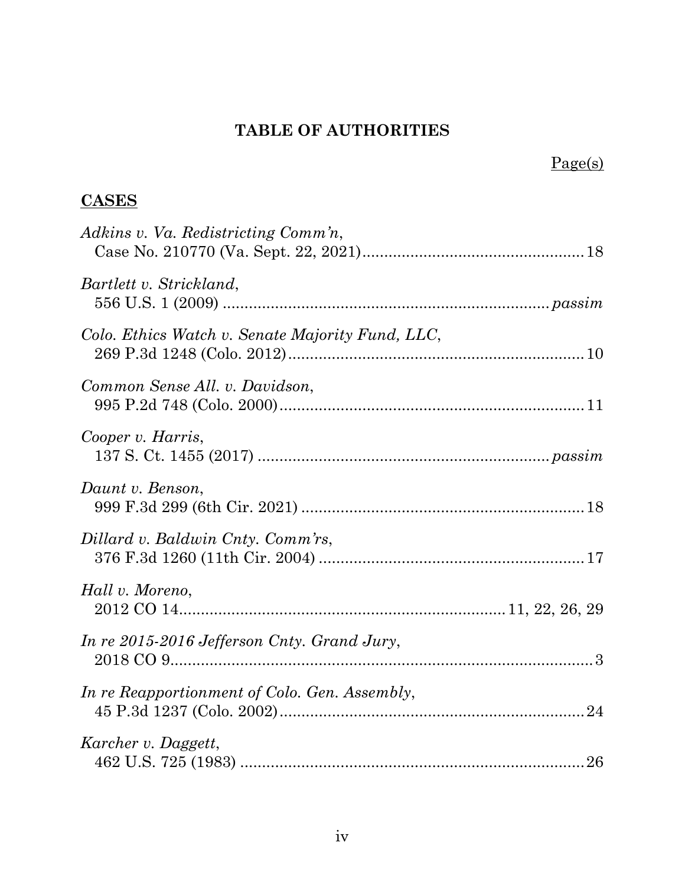# **TABLE OF AUTHORITIES**

# Page(s)

# **CASES**

| Adkins v. Va. Redistricting Comm'n,              |
|--------------------------------------------------|
| Bartlett v. Strickland,                          |
| Colo. Ethics Watch v. Senate Majority Fund, LLC, |
| Common Sense All. v. Davidson,                   |
| Cooper v. Harris,                                |
| Daunt v. Benson,                                 |
| Dillard v. Baldwin Cnty. Comm'rs,                |
| Hall v. Moreno,                                  |
| In re 2015-2016 Jefferson Cnty. Grand Jury,      |
| In re Reapportionment of Colo. Gen. Assembly,    |
| Karcher v. Daggett,                              |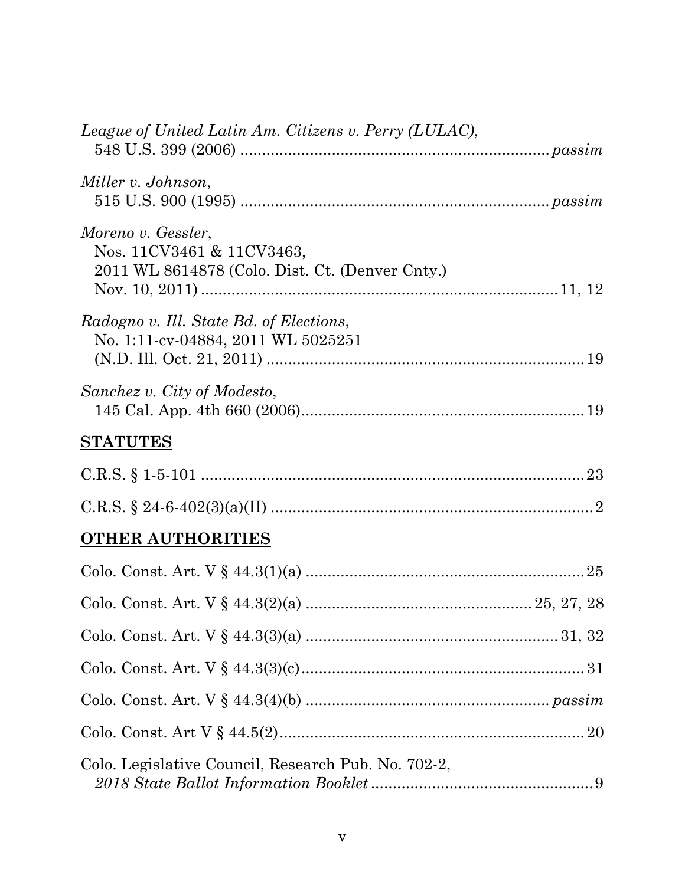| League of United Latin Am. Citizens v. Perry (LULAC),                                              |
|----------------------------------------------------------------------------------------------------|
| Miller v. Johnson,                                                                                 |
| Moreno v. Gessler,<br>Nos. 11CV3461 & 11CV3463,<br>2011 WL 8614878 (Colo. Dist. Ct. (Denver Cnty.) |
| Radogno v. Ill. State Bd. of Elections,<br>No. 1:11-cv-04884, 2011 WL 5025251                      |
| Sanchez v. City of Modesto,                                                                        |
| <b>STATUTES</b>                                                                                    |
|                                                                                                    |
|                                                                                                    |
| <b>OTHER AUTHORITIES</b>                                                                           |
|                                                                                                    |
|                                                                                                    |
|                                                                                                    |
|                                                                                                    |
|                                                                                                    |
|                                                                                                    |
| Colo. Legislative Council, Research Pub. No. 702-2,                                                |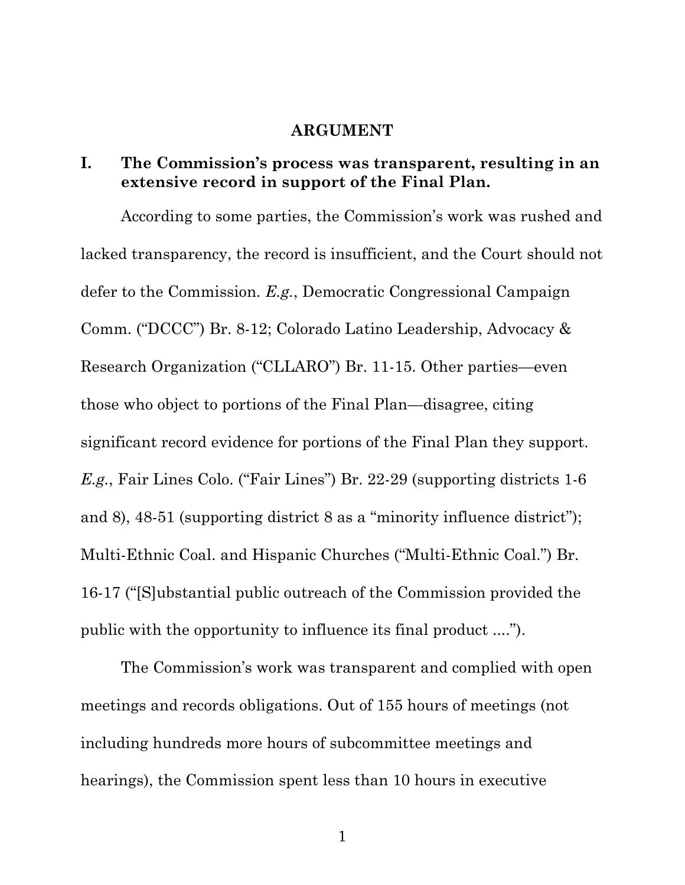#### **ARGUMENT**

#### **I. The Commission's process was transparent, resulting in an extensive record in support of the Final Plan.**

According to some parties, the Commission's work was rushed and lacked transparency, the record is insufficient, and the Court should not defer to the Commission. *E.g.*, Democratic Congressional Campaign Comm. ("DCCC") Br. 8-12; Colorado Latino Leadership, Advocacy & Research Organization ("CLLARO") Br. 11-15. Other parties—even those who object to portions of the Final Plan—disagree, citing significant record evidence for portions of the Final Plan they support. *E.g.*, Fair Lines Colo. ("Fair Lines") Br. 22-29 (supporting districts 1-6 and 8), 48-51 (supporting district 8 as a "minority influence district"); Multi-Ethnic Coal. and Hispanic Churches ("Multi-Ethnic Coal.") Br. 16-17 ("[S]ubstantial public outreach of the Commission provided the public with the opportunity to influence its final product ....").

The Commission's work was transparent and complied with open meetings and records obligations. Out of 155 hours of meetings (not including hundreds more hours of subcommittee meetings and hearings), the Commission spent less than 10 hours in executive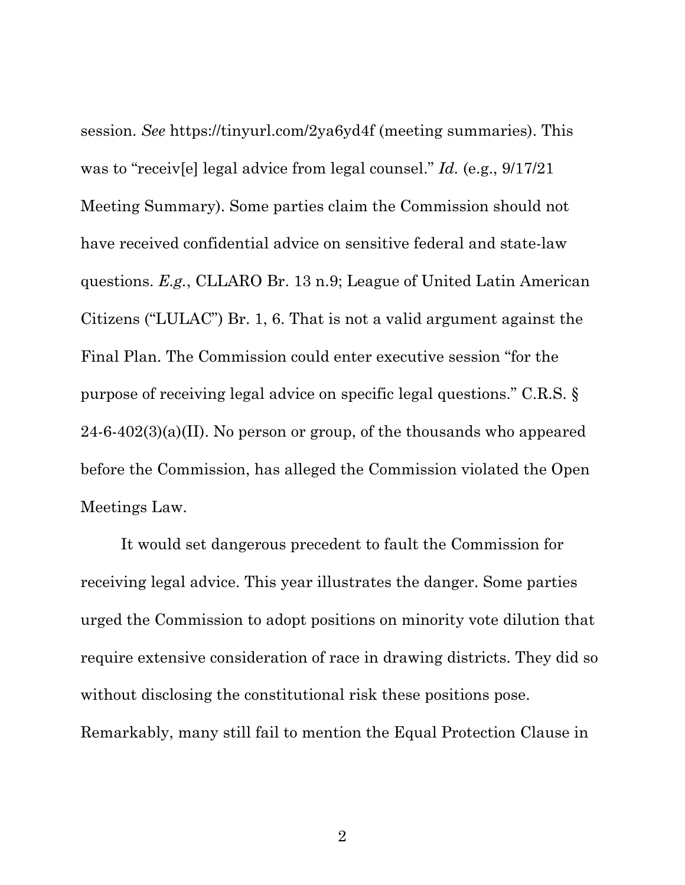session. *See* https://tinyurl.com/2ya6yd4f (meeting summaries). This was to "receiv[e] legal advice from legal counsel." *Id.* (e.g., 9/17/21 Meeting Summary). Some parties claim the Commission should not have received confidential advice on sensitive federal and state-law questions. *E.g.*, CLLARO Br. 13 n.9; League of United Latin American Citizens ("LULAC") Br. 1, 6. That is not a valid argument against the Final Plan. The Commission could enter executive session "for the purpose of receiving legal advice on specific legal questions." C.R.S. §  $24-6-402(3)(a)(II)$ . No person or group, of the thousands who appeared before the Commission, has alleged the Commission violated the Open Meetings Law.

It would set dangerous precedent to fault the Commission for receiving legal advice. This year illustrates the danger. Some parties urged the Commission to adopt positions on minority vote dilution that require extensive consideration of race in drawing districts. They did so without disclosing the constitutional risk these positions pose. Remarkably, many still fail to mention the Equal Protection Clause in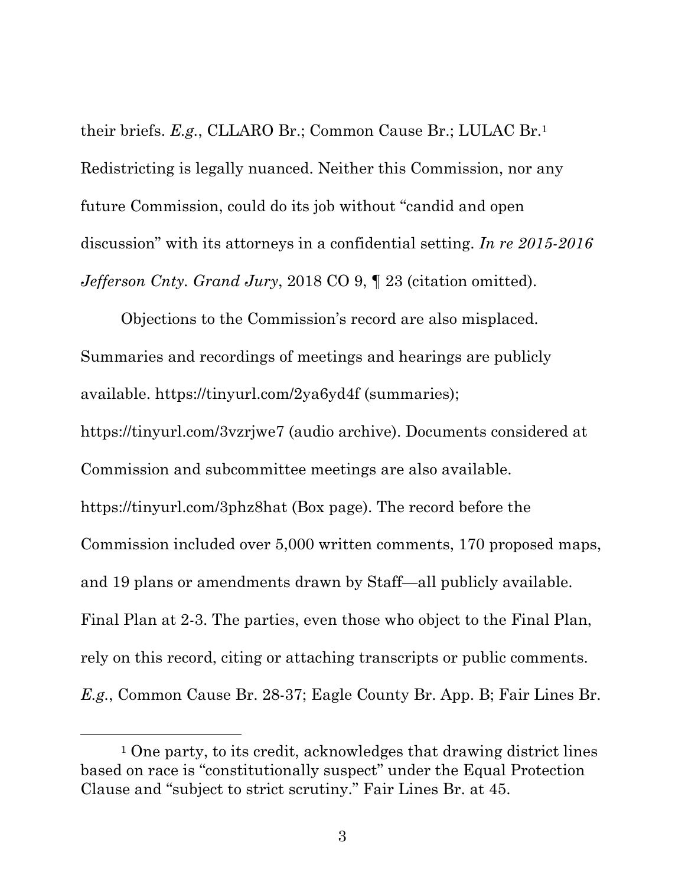their briefs. *E.g.*, CLLARO Br.; Common Cause Br.; LULAC Br.1 Redistricting is legally nuanced. Neither this Commission, nor any future Commission, could do its job without "candid and open discussion" with its attorneys in a confidential setting. *In re 2015-2016 Jefferson Cnty. Grand Jury*, 2018 CO 9, ¶ 23 (citation omitted).

Objections to the Commission's record are also misplaced. Summaries and recordings of meetings and hearings are publicly available. https://tinyurl.com/2ya6yd4f (summaries); https://tinyurl.com/3vzrjwe7 (audio archive). Documents considered at Commission and subcommittee meetings are also available. https://tinyurl.com/3phz8hat (Box page). The record before the Commission included over 5,000 written comments, 170 proposed maps, and 19 plans or amendments drawn by Staff—all publicly available. Final Plan at 2-3. The parties, even those who object to the Final Plan, rely on this record, citing or attaching transcripts or public comments. *E.g.*, Common Cause Br. 28-37; Eagle County Br. App. B; Fair Lines Br.

 <sup>1</sup> One party, to its credit, acknowledges that drawing district lines based on race is "constitutionally suspect" under the Equal Protection Clause and "subject to strict scrutiny." Fair Lines Br. at 45.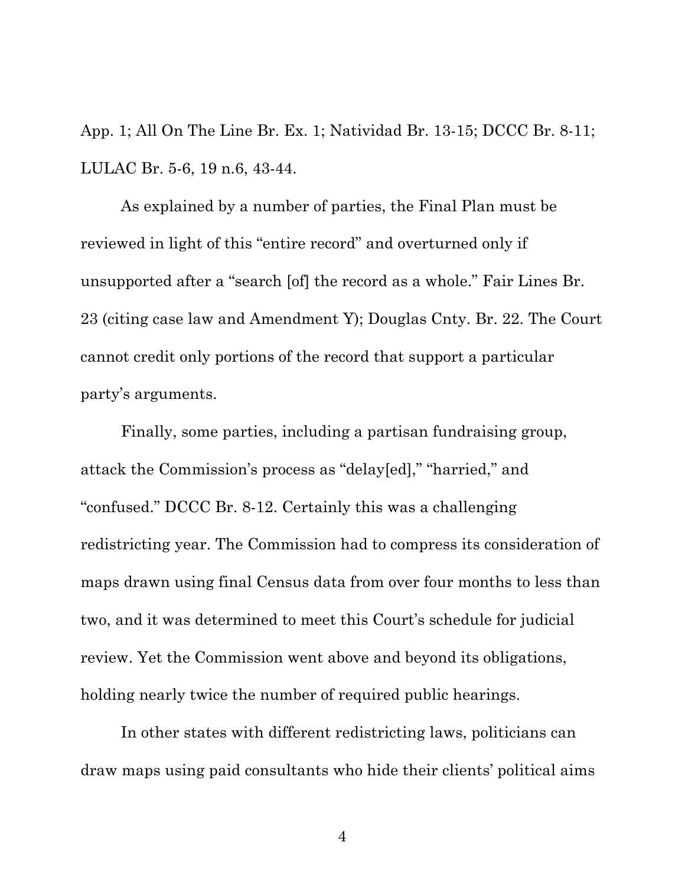App. 1; All On The Line Br. Ex. 1; Natividad Br. 13-15; DCCC Br. 8-11; LULAC Br. 5-6, 19 n.6, 43-44.

As explained by a number of parties, the Final Plan must be reviewed in light of this "entire record" and overturned only if unsupported after a "search [of] the record as a whole." Fair Lines Br. 23 (citing case law and Amendment Y); Douglas Cnty. Br. 22. The Court cannot credit only portions of the record that support a particular party's arguments.

Finally, some parties, including a partisan fundraising group, attack the Commission's process as "delay[ed]," "harried," and "confused." DCCC Br. 8-12. Certainly this was a challenging redistricting year. The Commission had to compress its consideration of maps drawn using final Census data from over four months to less than two, and it was determined to meet this Court's schedule for judicial review. Yet the Commission went above and beyond its obligations, holding nearly twice the number of required public hearings.

In other states with different redistricting laws, politicians can draw maps using paid consultants who hide their clients' political aims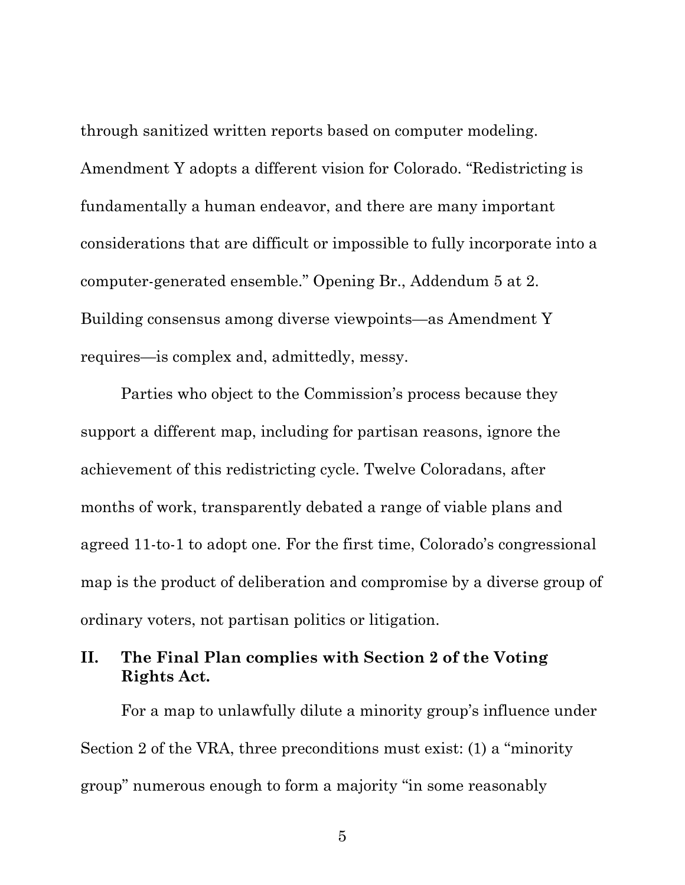through sanitized written reports based on computer modeling. Amendment Y adopts a different vision for Colorado. "Redistricting is fundamentally a human endeavor, and there are many important considerations that are difficult or impossible to fully incorporate into a computer-generated ensemble." Opening Br., Addendum 5 at 2. Building consensus among diverse viewpoints—as Amendment Y requires—is complex and, admittedly, messy.

Parties who object to the Commission's process because they support a different map, including for partisan reasons, ignore the achievement of this redistricting cycle. Twelve Coloradans, after months of work, transparently debated a range of viable plans and agreed 11-to-1 to adopt one. For the first time, Colorado's congressional map is the product of deliberation and compromise by a diverse group of ordinary voters, not partisan politics or litigation.

#### **II. The Final Plan complies with Section 2 of the Voting Rights Act.**

For a map to unlawfully dilute a minority group's influence under Section 2 of the VRA, three preconditions must exist: (1) a "minority group" numerous enough to form a majority "in some reasonably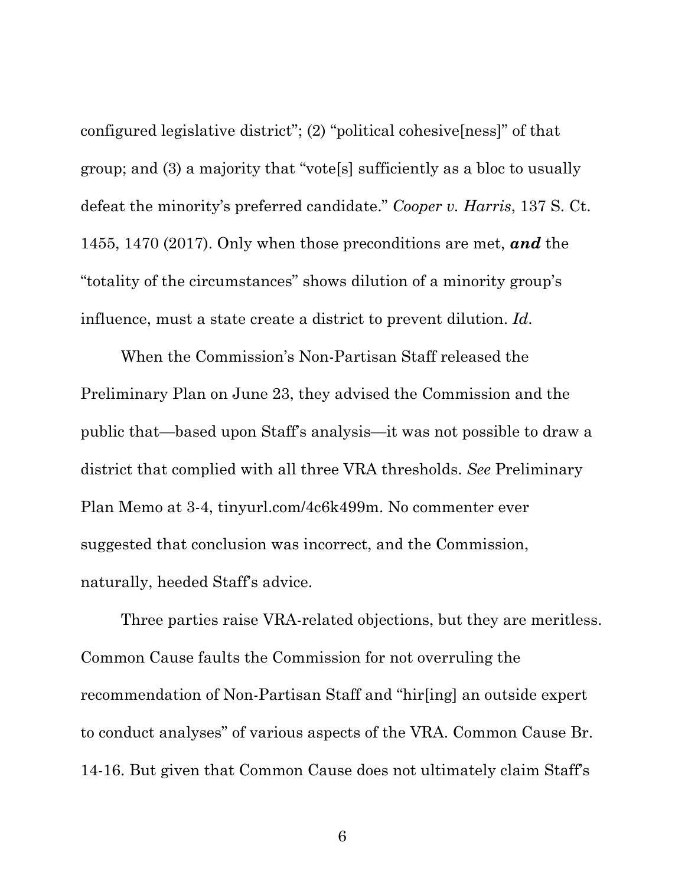configured legislative district"; (2) "political cohesive[ness]" of that group; and (3) a majority that "vote[s] sufficiently as a bloc to usually defeat the minority's preferred candidate." *Cooper v. Harris*, 137 S. Ct. 1455, 1470 (2017). Only when those preconditions are met, *and* the "totality of the circumstances" shows dilution of a minority group's influence, must a state create a district to prevent dilution. *Id*.

When the Commission's Non-Partisan Staff released the Preliminary Plan on June 23, they advised the Commission and the public that—based upon Staff's analysis—it was not possible to draw a district that complied with all three VRA thresholds. *See* Preliminary Plan Memo at 3-4, tinyurl.com/4c6k499m. No commenter ever suggested that conclusion was incorrect, and the Commission, naturally, heeded Staff's advice.

Three parties raise VRA-related objections, but they are meritless. Common Cause faults the Commission for not overruling the recommendation of Non-Partisan Staff and "hir[ing] an outside expert to conduct analyses" of various aspects of the VRA. Common Cause Br. 14-16. But given that Common Cause does not ultimately claim Staff's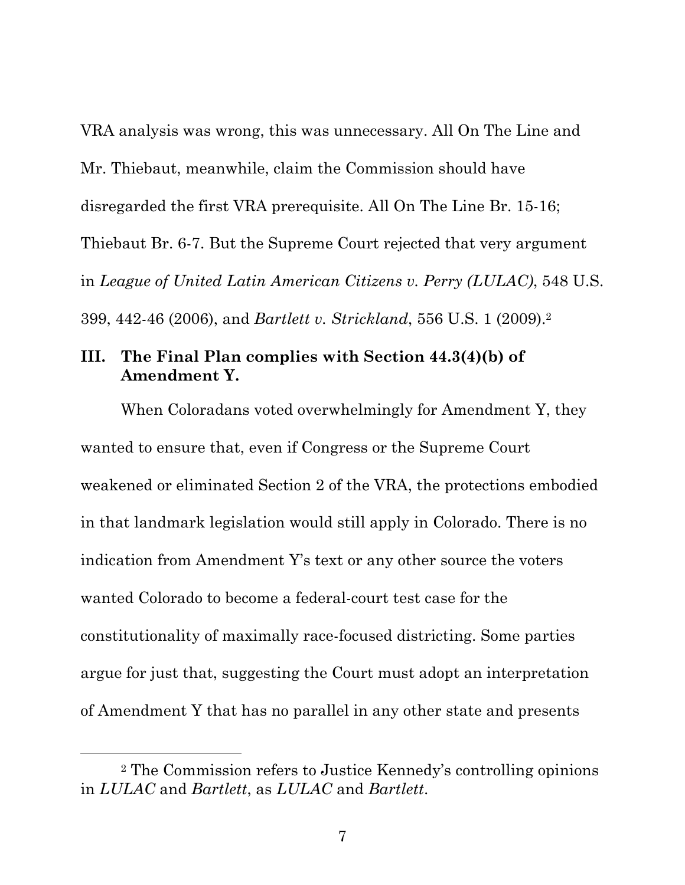VRA analysis was wrong, this was unnecessary. All On The Line and Mr. Thiebaut, meanwhile, claim the Commission should have disregarded the first VRA prerequisite. All On The Line Br. 15-16; Thiebaut Br. 6-7. But the Supreme Court rejected that very argument in *League of United Latin American Citizens v. Perry (LULAC)*, 548 U.S. 399, 442-46 (2006), and *Bartlett v. Strickland*, 556 U.S. 1 (2009).2

#### **III. The Final Plan complies with Section 44.3(4)(b) of Amendment Y.**

When Coloradans voted overwhelmingly for Amendment Y, they wanted to ensure that, even if Congress or the Supreme Court weakened or eliminated Section 2 of the VRA, the protections embodied in that landmark legislation would still apply in Colorado. There is no indication from Amendment Y's text or any other source the voters wanted Colorado to become a federal-court test case for the constitutionality of maximally race-focused districting. Some parties argue for just that, suggesting the Court must adopt an interpretation of Amendment Y that has no parallel in any other state and presents

 <sup>2</sup> The Commission refers to Justice Kennedy's controlling opinions in *LULAC* and *Bartlett*, as *LULAC* and *Bartlett*.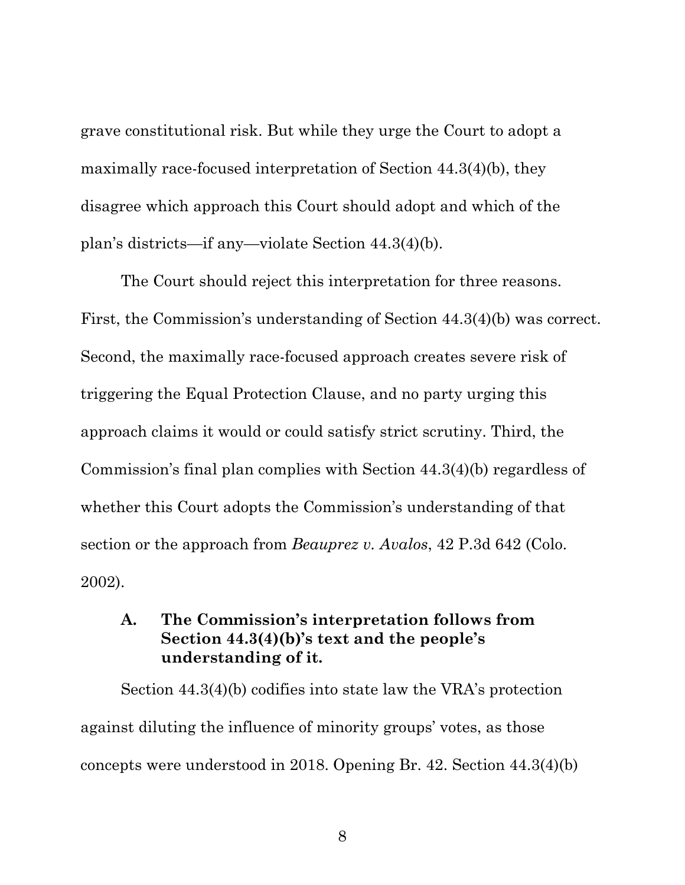grave constitutional risk. But while they urge the Court to adopt a maximally race-focused interpretation of Section 44.3(4)(b), they disagree which approach this Court should adopt and which of the plan's districts—if any—violate Section 44.3(4)(b).

The Court should reject this interpretation for three reasons. First, the Commission's understanding of Section 44.3(4)(b) was correct. Second, the maximally race-focused approach creates severe risk of triggering the Equal Protection Clause, and no party urging this approach claims it would or could satisfy strict scrutiny. Third, the Commission's final plan complies with Section 44.3(4)(b) regardless of whether this Court adopts the Commission's understanding of that section or the approach from *Beauprez v. Avalos*, 42 P.3d 642 (Colo. 2002).

### **A. The Commission's interpretation follows from Section 44.3(4)(b)'s text and the people's understanding of it.**

Section 44.3(4)(b) codifies into state law the VRA's protection against diluting the influence of minority groups' votes, as those concepts were understood in 2018. Opening Br. 42. Section 44.3(4)(b)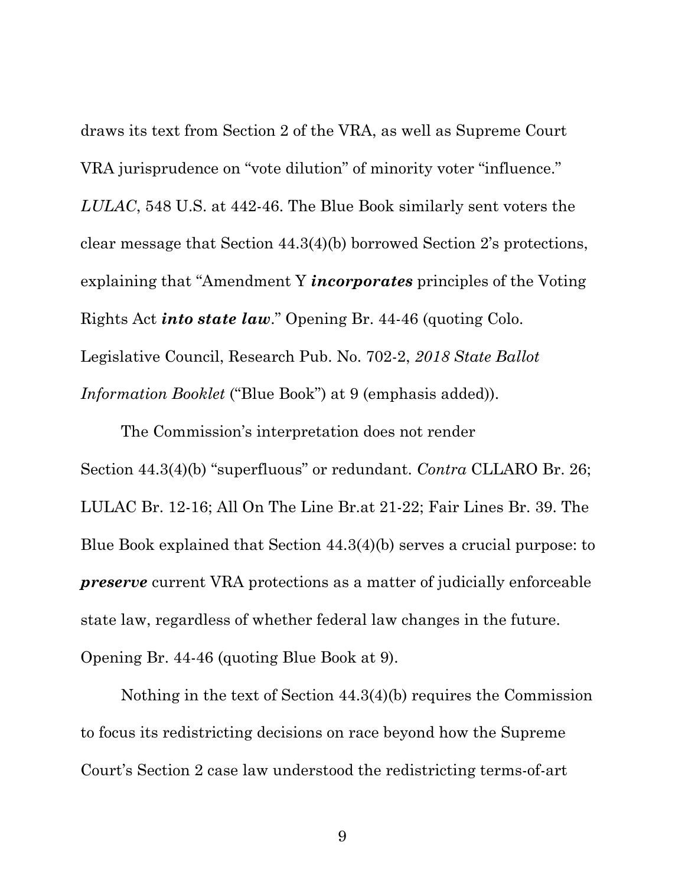draws its text from Section 2 of the VRA, as well as Supreme Court VRA jurisprudence on "vote dilution" of minority voter "influence." *LULAC*, 548 U.S. at 442-46. The Blue Book similarly sent voters the clear message that Section 44.3(4)(b) borrowed Section 2's protections, explaining that "Amendment Y *incorporates* principles of the Voting Rights Act *into state law*." Opening Br. 44-46 (quoting Colo. Legislative Council, Research Pub. No. 702-2, *2018 State Ballot Information Booklet* ("Blue Book") at 9 (emphasis added)).

The Commission's interpretation does not render Section 44.3(4)(b) "superfluous" or redundant. *Contra* CLLARO Br. 26; LULAC Br. 12-16; All On The Line Br.at 21-22; Fair Lines Br. 39. The Blue Book explained that Section 44.3(4)(b) serves a crucial purpose: to *preserve* current VRA protections as a matter of judicially enforceable state law, regardless of whether federal law changes in the future. Opening Br. 44-46 (quoting Blue Book at 9).

Nothing in the text of Section 44.3(4)(b) requires the Commission to focus its redistricting decisions on race beyond how the Supreme Court's Section 2 case law understood the redistricting terms-of-art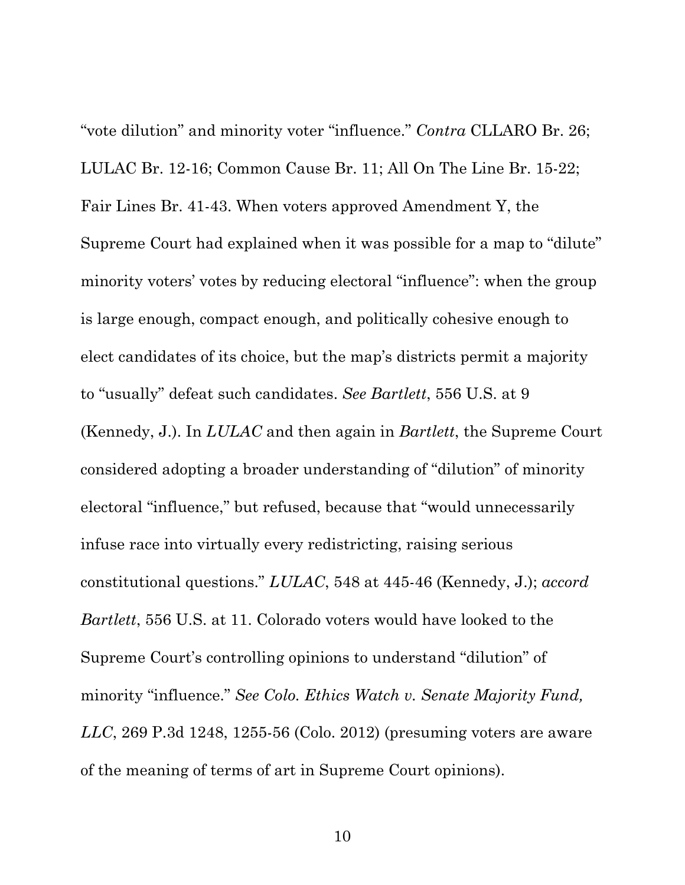"vote dilution" and minority voter "influence." *Contra* CLLARO Br. 26; LULAC Br. 12-16; Common Cause Br. 11; All On The Line Br. 15-22; Fair Lines Br. 41-43. When voters approved Amendment Y, the Supreme Court had explained when it was possible for a map to "dilute" minority voters' votes by reducing electoral "influence": when the group is large enough, compact enough, and politically cohesive enough to elect candidates of its choice, but the map's districts permit a majority to "usually" defeat such candidates. *See Bartlett*, 556 U.S. at 9 (Kennedy, J.). In *LULAC* and then again in *Bartlett*, the Supreme Court considered adopting a broader understanding of "dilution" of minority electoral "influence," but refused, because that "would unnecessarily infuse race into virtually every redistricting, raising serious constitutional questions." *LULAC*, 548 at 445-46 (Kennedy, J.); *accord Bartlett*, 556 U.S. at 11. Colorado voters would have looked to the Supreme Court's controlling opinions to understand "dilution" of minority "influence." *See Colo. Ethics Watch v. Senate Majority Fund, LLC*, 269 P.3d 1248, 1255-56 (Colo. 2012) (presuming voters are aware of the meaning of terms of art in Supreme Court opinions).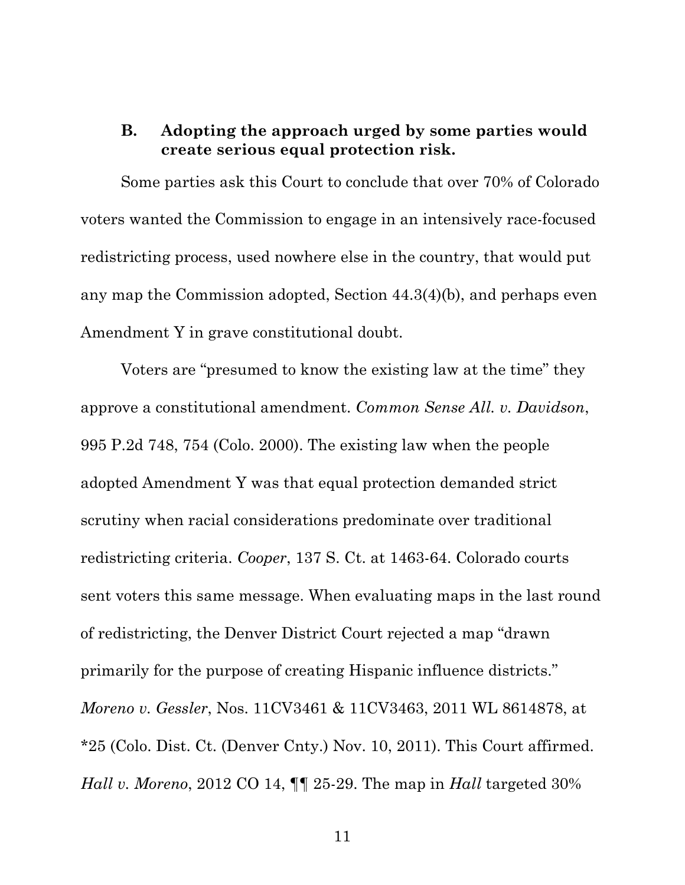### **B. Adopting the approach urged by some parties would create serious equal protection risk.**

Some parties ask this Court to conclude that over 70% of Colorado voters wanted the Commission to engage in an intensively race-focused redistricting process, used nowhere else in the country, that would put any map the Commission adopted, Section 44.3(4)(b), and perhaps even Amendment Y in grave constitutional doubt.

Voters are "presumed to know the existing law at the time" they approve a constitutional amendment. *Common Sense All. v. Davidson*, 995 P.2d 748, 754 (Colo. 2000). The existing law when the people adopted Amendment Y was that equal protection demanded strict scrutiny when racial considerations predominate over traditional redistricting criteria. *Cooper*, 137 S. Ct. at 1463-64. Colorado courts sent voters this same message. When evaluating maps in the last round of redistricting, the Denver District Court rejected a map "drawn primarily for the purpose of creating Hispanic influence districts." *Moreno v. Gessler*, Nos. 11CV3461 & 11CV3463, 2011 WL 8614878, at \*25 (Colo. Dist. Ct. (Denver Cnty.) Nov. 10, 2011). This Court affirmed. *Hall v. Moreno*, 2012 CO 14, ¶¶ 25-29. The map in *Hall* targeted 30%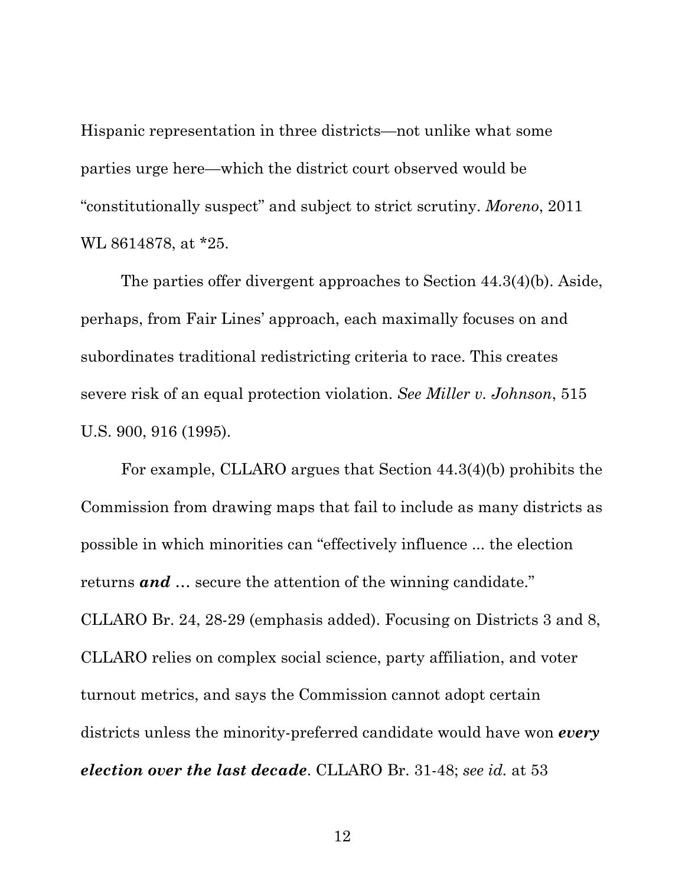Hispanic representation in three districts—not unlike what some parties urge here—which the district court observed would be "constitutionally suspect" and subject to strict scrutiny. *Moreno*, 2011 WL 8614878, at \*25.

The parties offer divergent approaches to Section 44.3(4)(b). Aside, perhaps, from Fair Lines' approach, each maximally focuses on and subordinates traditional redistricting criteria to race. This creates severe risk of an equal protection violation. *See Miller v. Johnson*, 515 U.S. 900, 916 (1995).

For example, CLLARO argues that Section 44.3(4)(b) prohibits the Commission from drawing maps that fail to include as many districts as possible in which minorities can "effectively influence ... the election returns *and* … secure the attention of the winning candidate." CLLARO Br. 24, 28-29 (emphasis added). Focusing on Districts 3 and 8, CLLARO relies on complex social science, party affiliation, and voter turnout metrics, and says the Commission cannot adopt certain districts unless the minority-preferred candidate would have won *every election over the last decade*. CLLARO Br. 31-48; *see id.* at 53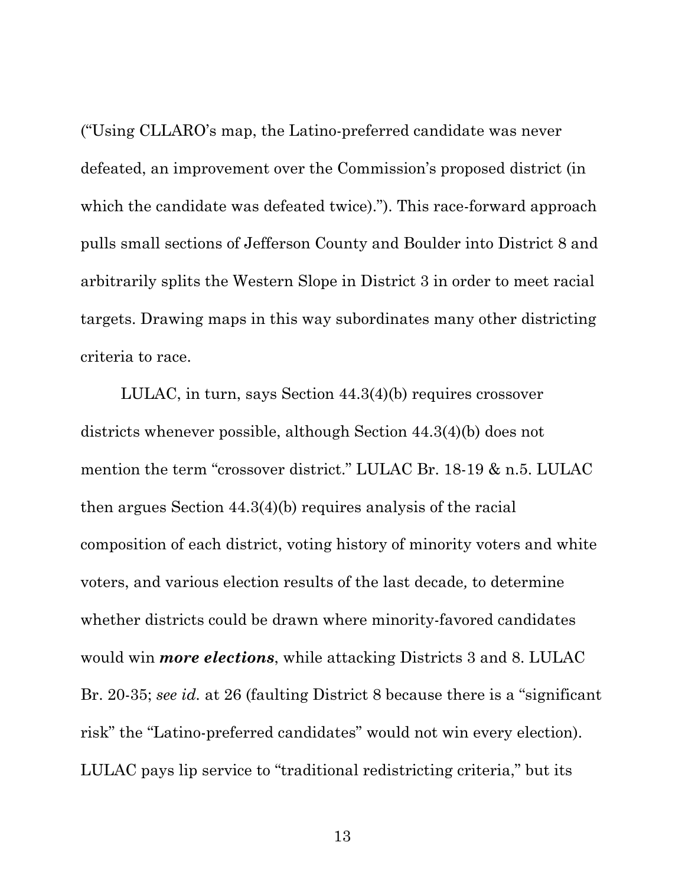("Using CLLARO's map, the Latino-preferred candidate was never defeated, an improvement over the Commission's proposed district (in which the candidate was defeated twice)."). This race-forward approach pulls small sections of Jefferson County and Boulder into District 8 and arbitrarily splits the Western Slope in District 3 in order to meet racial targets. Drawing maps in this way subordinates many other districting criteria to race.

LULAC, in turn, says Section 44.3(4)(b) requires crossover districts whenever possible, although Section 44.3(4)(b) does not mention the term "crossover district." LULAC Br. 18-19 & n.5. LULAC then argues Section 44.3(4)(b) requires analysis of the racial composition of each district, voting history of minority voters and white voters, and various election results of the last decade*,* to determine whether districts could be drawn where minority-favored candidates would win *more elections*, while attacking Districts 3 and 8. LULAC Br. 20-35; *see id.* at 26 (faulting District 8 because there is a "significant risk" the "Latino-preferred candidates" would not win every election). LULAC pays lip service to "traditional redistricting criteria," but its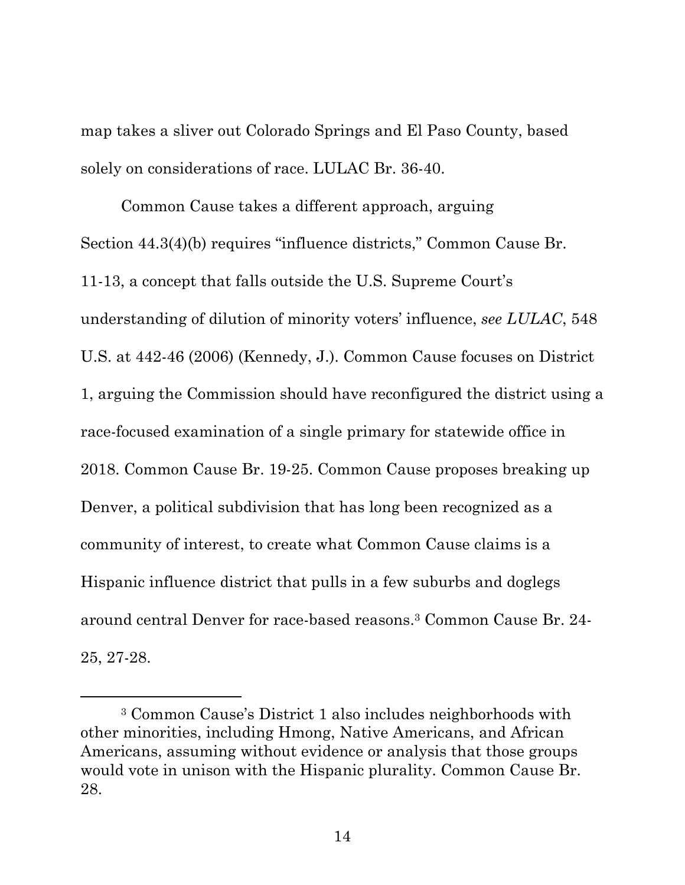map takes a sliver out Colorado Springs and El Paso County, based solely on considerations of race. LULAC Br. 36-40.

Common Cause takes a different approach, arguing Section 44.3(4)(b) requires "influence districts," Common Cause Br. 11-13, a concept that falls outside the U.S. Supreme Court's understanding of dilution of minority voters' influence, *see LULAC*, 548 U.S. at 442-46 (2006) (Kennedy, J.). Common Cause focuses on District 1, arguing the Commission should have reconfigured the district using a race-focused examination of a single primary for statewide office in 2018. Common Cause Br. 19-25. Common Cause proposes breaking up Denver, a political subdivision that has long been recognized as a community of interest, to create what Common Cause claims is a Hispanic influence district that pulls in a few suburbs and doglegs around central Denver for race-based reasons.3 Common Cause Br. 24- 25, 27-28.

 <sup>3</sup> Common Cause's District 1 also includes neighborhoods with other minorities, including Hmong, Native Americans, and African Americans, assuming without evidence or analysis that those groups would vote in unison with the Hispanic plurality. Common Cause Br. 28.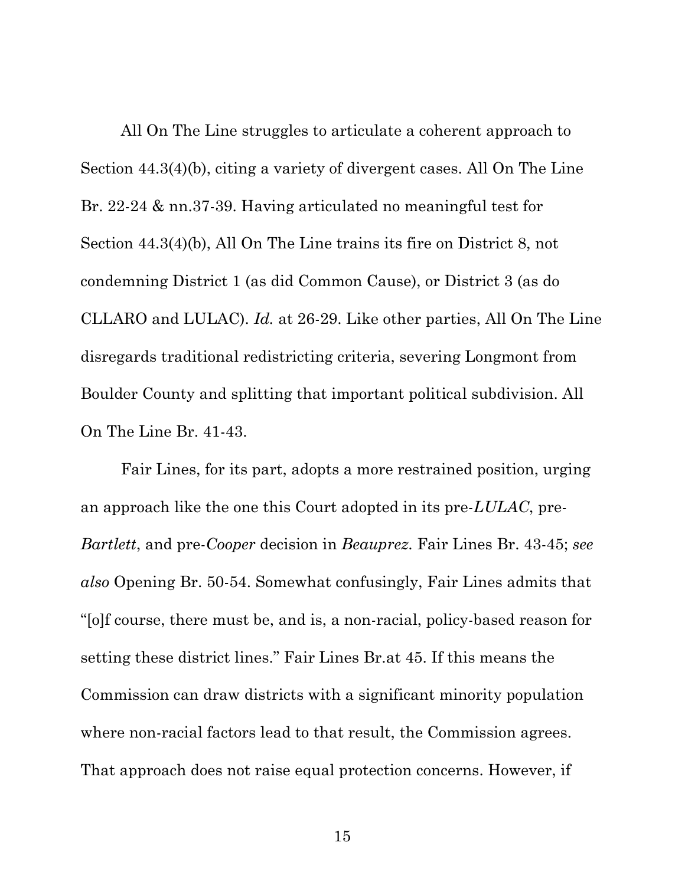All On The Line struggles to articulate a coherent approach to Section 44.3(4)(b), citing a variety of divergent cases. All On The Line Br. 22-24 & nn.37-39. Having articulated no meaningful test for Section 44.3(4)(b), All On The Line trains its fire on District 8, not condemning District 1 (as did Common Cause), or District 3 (as do CLLARO and LULAC). *Id.* at 26-29. Like other parties, All On The Line disregards traditional redistricting criteria, severing Longmont from Boulder County and splitting that important political subdivision. All On The Line Br. 41-43.

Fair Lines, for its part, adopts a more restrained position, urging an approach like the one this Court adopted in its pre-*LULAC*, pre-*Bartlett*, and pre-*Cooper* decision in *Beauprez*. Fair Lines Br. 43-45; *see also* Opening Br. 50-54. Somewhat confusingly, Fair Lines admits that "[o]f course, there must be, and is, a non-racial, policy-based reason for setting these district lines." Fair Lines Br.at 45. If this means the Commission can draw districts with a significant minority population where non-racial factors lead to that result, the Commission agrees. That approach does not raise equal protection concerns. However, if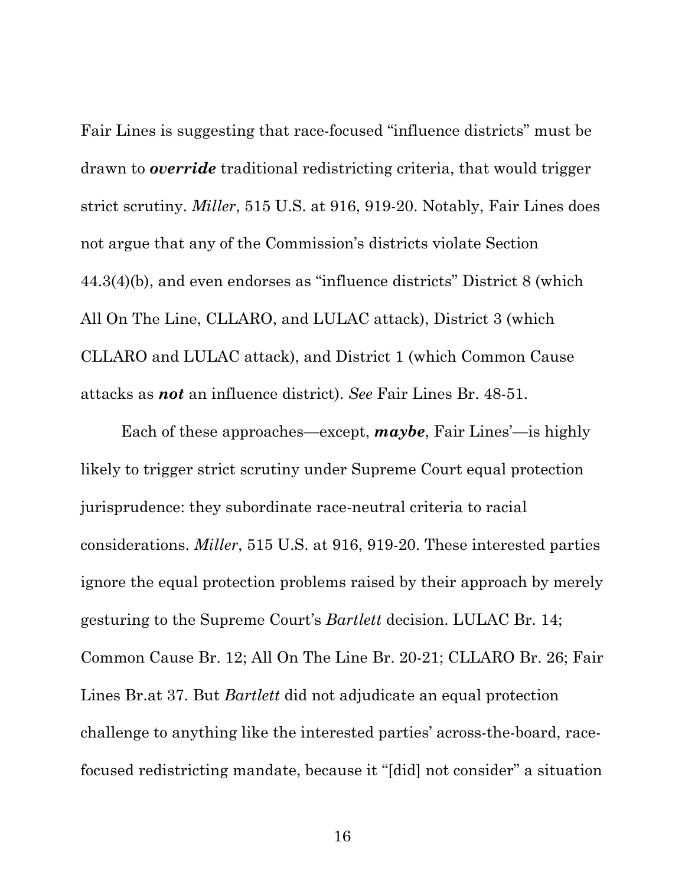Fair Lines is suggesting that race-focused "influence districts" must be drawn to *override* traditional redistricting criteria, that would trigger strict scrutiny. *Miller*, 515 U.S. at 916, 919-20. Notably, Fair Lines does not argue that any of the Commission's districts violate Section 44.3(4)(b), and even endorses as "influence districts" District 8 (which All On The Line, CLLARO, and LULAC attack), District 3 (which CLLARO and LULAC attack), and District 1 (which Common Cause attacks as *not* an influence district). *See* Fair Lines Br. 48-51.

Each of these approaches—except, *maybe*, Fair Lines'—is highly likely to trigger strict scrutiny under Supreme Court equal protection jurisprudence: they subordinate race-neutral criteria to racial considerations. *Miller*, 515 U.S. at 916, 919-20. These interested parties ignore the equal protection problems raised by their approach by merely gesturing to the Supreme Court's *Bartlett* decision. LULAC Br. 14; Common Cause Br. 12; All On The Line Br. 20-21; CLLARO Br. 26; Fair Lines Br.at 37. But *Bartlett* did not adjudicate an equal protection challenge to anything like the interested parties' across-the-board, racefocused redistricting mandate, because it "[did] not consider" a situation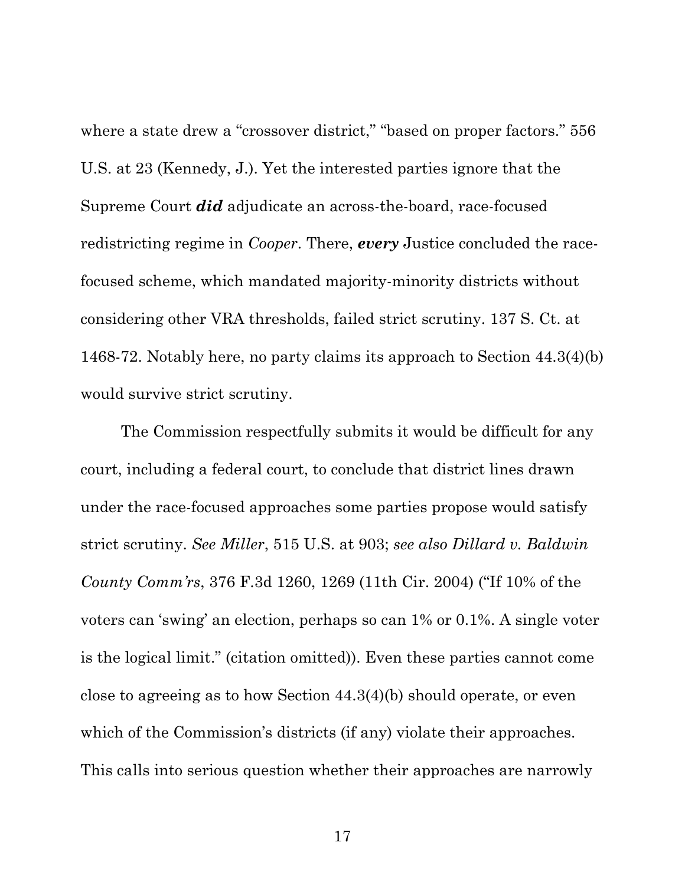where a state drew a "crossover district," "based on proper factors." 556 U.S. at 23 (Kennedy, J.). Yet the interested parties ignore that the Supreme Court *did* adjudicate an across-the-board, race-focused redistricting regime in *Cooper*. There, *every* Justice concluded the racefocused scheme, which mandated majority-minority districts without considering other VRA thresholds, failed strict scrutiny. 137 S. Ct. at 1468-72. Notably here, no party claims its approach to Section 44.3(4)(b) would survive strict scrutiny.

The Commission respectfully submits it would be difficult for any court, including a federal court, to conclude that district lines drawn under the race-focused approaches some parties propose would satisfy strict scrutiny. *See Miller*, 515 U.S. at 903; *see also Dillard v. Baldwin County Comm'rs*, 376 F.3d 1260, 1269 (11th Cir. 2004) ("If 10% of the voters can 'swing' an election, perhaps so can 1% or 0.1%. A single voter is the logical limit." (citation omitted)). Even these parties cannot come close to agreeing as to how Section 44.3(4)(b) should operate, or even which of the Commission's districts (if any) violate their approaches. This calls into serious question whether their approaches are narrowly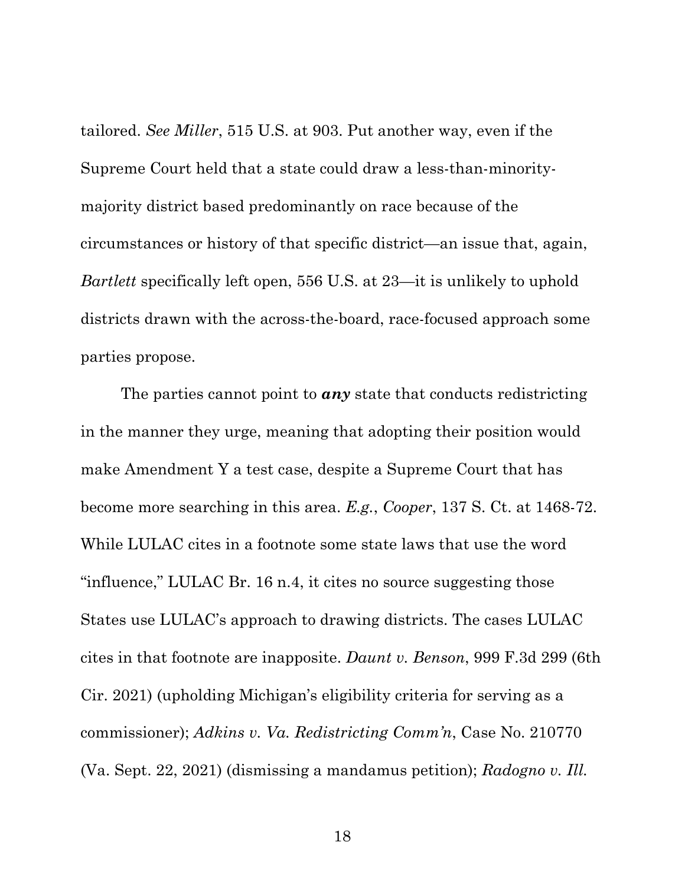tailored. *See Miller*, 515 U.S. at 903. Put another way, even if the Supreme Court held that a state could draw a less-than-minoritymajority district based predominantly on race because of the circumstances or history of that specific district—an issue that, again, *Bartlett* specifically left open, 556 U.S. at 23—it is unlikely to uphold districts drawn with the across-the-board, race-focused approach some parties propose.

The parties cannot point to *any* state that conducts redistricting in the manner they urge, meaning that adopting their position would make Amendment Y a test case, despite a Supreme Court that has become more searching in this area. *E.g.*, *Cooper*, 137 S. Ct. at 1468-72. While LULAC cites in a footnote some state laws that use the word "influence," LULAC Br. 16 n.4, it cites no source suggesting those States use LULAC's approach to drawing districts. The cases LULAC cites in that footnote are inapposite. *Daunt v. Benson*, 999 F.3d 299 (6th Cir. 2021) (upholding Michigan's eligibility criteria for serving as a commissioner); *Adkins v. Va. Redistricting Comm'n*, Case No. 210770 (Va. Sept. 22, 2021) (dismissing a mandamus petition); *Radogno v. Ill.*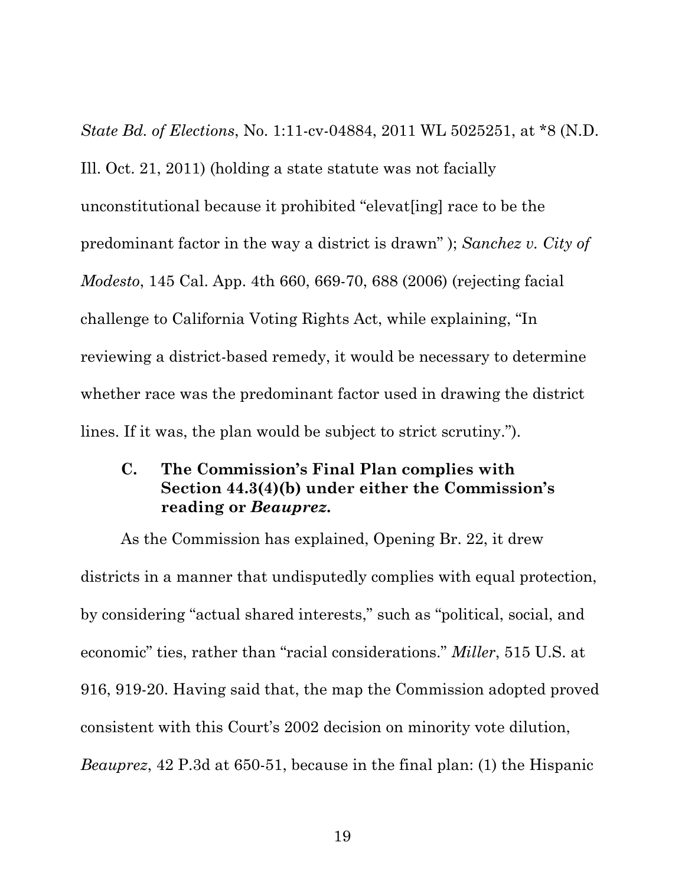*State Bd. of Elections*, No. 1:11-cv-04884, 2011 WL 5025251, at \*8 (N.D. Ill. Oct. 21, 2011) (holding a state statute was not facially unconstitutional because it prohibited "elevat[ing] race to be the predominant factor in the way a district is drawn" ); *Sanchez v. City of Modesto*, 145 Cal. App. 4th 660, 669-70, 688 (2006) (rejecting facial challenge to California Voting Rights Act, while explaining, "In reviewing a district-based remedy, it would be necessary to determine whether race was the predominant factor used in drawing the district lines. If it was, the plan would be subject to strict scrutiny.").

### **C. The Commission's Final Plan complies with Section 44.3(4)(b) under either the Commission's reading or** *Beauprez***.**

As the Commission has explained, Opening Br. 22, it drew districts in a manner that undisputedly complies with equal protection, by considering "actual shared interests," such as "political, social, and economic" ties, rather than "racial considerations." *Miller*, 515 U.S. at 916, 919-20. Having said that, the map the Commission adopted proved consistent with this Court's 2002 decision on minority vote dilution, *Beauprez*, 42 P.3d at 650-51, because in the final plan: (1) the Hispanic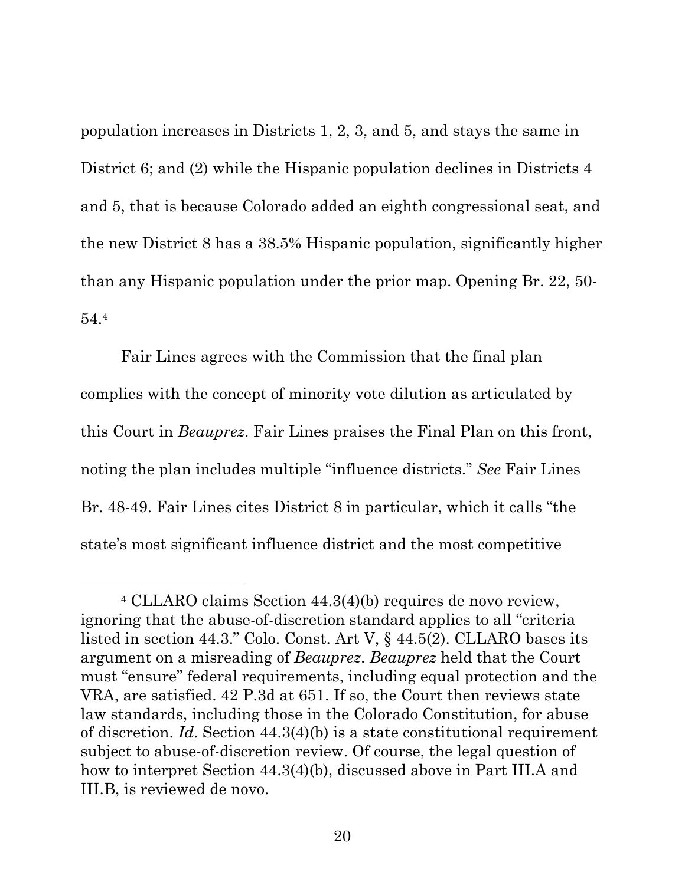population increases in Districts 1, 2, 3, and 5, and stays the same in District 6; and (2) while the Hispanic population declines in Districts 4 and 5, that is because Colorado added an eighth congressional seat, and the new District 8 has a 38.5% Hispanic population, significantly higher than any Hispanic population under the prior map. Opening Br. 22, 50- 54.4

Fair Lines agrees with the Commission that the final plan complies with the concept of minority vote dilution as articulated by this Court in *Beauprez*. Fair Lines praises the Final Plan on this front, noting the plan includes multiple "influence districts." *See* Fair Lines Br. 48-49. Fair Lines cites District 8 in particular, which it calls "the state's most significant influence district and the most competitive

 <sup>4</sup> CLLARO claims Section 44.3(4)(b) requires de novo review, ignoring that the abuse-of-discretion standard applies to all "criteria listed in section 44.3." Colo. Const. Art V, § 44.5(2). CLLARO bases its argument on a misreading of *Beauprez*. *Beauprez* held that the Court must "ensure" federal requirements, including equal protection and the VRA, are satisfied. 42 P.3d at 651. If so, the Court then reviews state law standards, including those in the Colorado Constitution, for abuse of discretion. *Id*. Section 44.3(4)(b) is a state constitutional requirement subject to abuse-of-discretion review. Of course, the legal question of how to interpret Section 44.3(4)(b), discussed above in Part III.A and III.B, is reviewed de novo.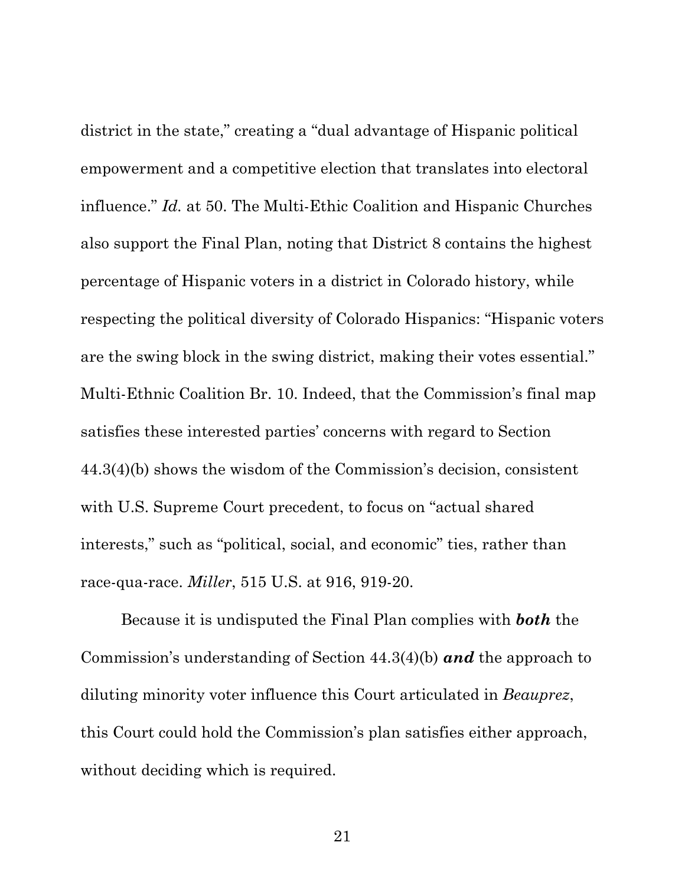district in the state," creating a "dual advantage of Hispanic political empowerment and a competitive election that translates into electoral influence." *Id.* at 50. The Multi-Ethic Coalition and Hispanic Churches also support the Final Plan, noting that District 8 contains the highest percentage of Hispanic voters in a district in Colorado history, while respecting the political diversity of Colorado Hispanics: "Hispanic voters are the swing block in the swing district, making their votes essential." Multi-Ethnic Coalition Br. 10. Indeed, that the Commission's final map satisfies these interested parties' concerns with regard to Section 44.3(4)(b) shows the wisdom of the Commission's decision, consistent with U.S. Supreme Court precedent, to focus on "actual shared interests," such as "political, social, and economic" ties, rather than race-qua-race. *Miller*, 515 U.S. at 916, 919-20.

Because it is undisputed the Final Plan complies with *both* the Commission's understanding of Section 44.3(4)(b) *and* the approach to diluting minority voter influence this Court articulated in *Beauprez*, this Court could hold the Commission's plan satisfies either approach, without deciding which is required.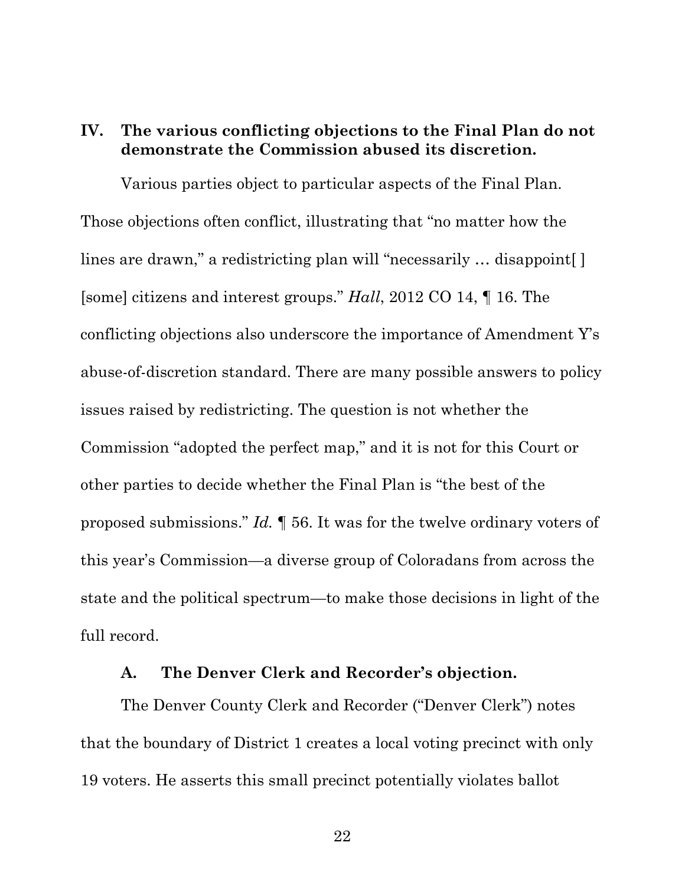### **IV. The various conflicting objections to the Final Plan do not demonstrate the Commission abused its discretion.**

Various parties object to particular aspects of the Final Plan. Those objections often conflict, illustrating that "no matter how the lines are drawn," a redistricting plan will "necessarily ... disappoint [] [some] citizens and interest groups." *Hall*, 2012 CO 14, ¶ 16. The conflicting objections also underscore the importance of Amendment Y's abuse-of-discretion standard. There are many possible answers to policy issues raised by redistricting. The question is not whether the Commission "adopted the perfect map," and it is not for this Court or other parties to decide whether the Final Plan is "the best of the proposed submissions." *Id.* ¶ 56. It was for the twelve ordinary voters of this year's Commission—a diverse group of Coloradans from across the state and the political spectrum—to make those decisions in light of the full record.

#### **A. The Denver Clerk and Recorder's objection.**

The Denver County Clerk and Recorder ("Denver Clerk") notes that the boundary of District 1 creates a local voting precinct with only 19 voters. He asserts this small precinct potentially violates ballot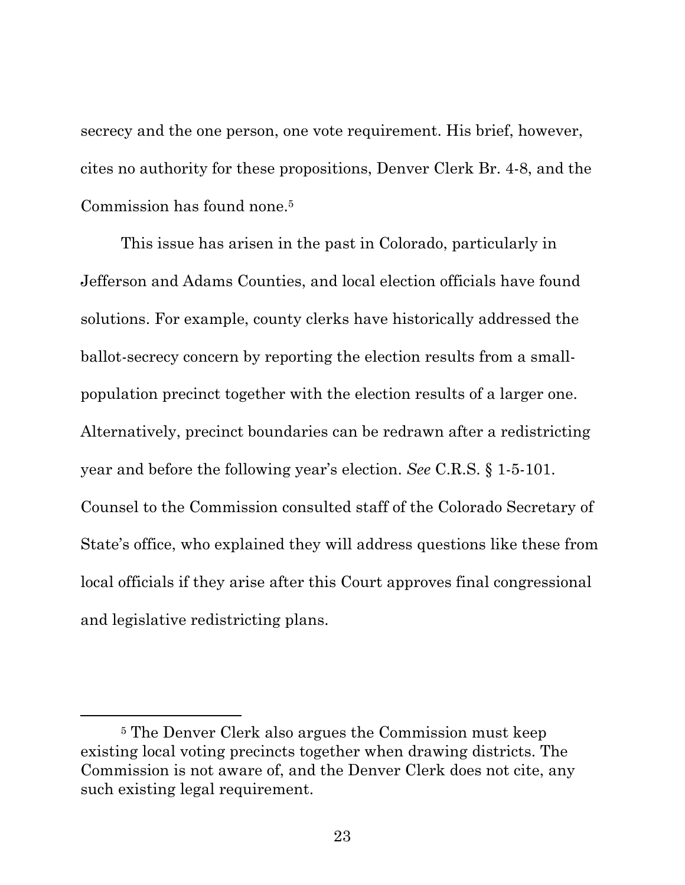secrecy and the one person, one vote requirement. His brief, however, cites no authority for these propositions, Denver Clerk Br. 4-8, and the Commission has found none.5

This issue has arisen in the past in Colorado, particularly in Jefferson and Adams Counties, and local election officials have found solutions. For example, county clerks have historically addressed the ballot-secrecy concern by reporting the election results from a smallpopulation precinct together with the election results of a larger one. Alternatively, precinct boundaries can be redrawn after a redistricting year and before the following year's election. *See* C.R.S. § 1-5-101. Counsel to the Commission consulted staff of the Colorado Secretary of State's office, who explained they will address questions like these from local officials if they arise after this Court approves final congressional and legislative redistricting plans.

 <sup>5</sup> The Denver Clerk also argues the Commission must keep existing local voting precincts together when drawing districts. The Commission is not aware of, and the Denver Clerk does not cite, any such existing legal requirement.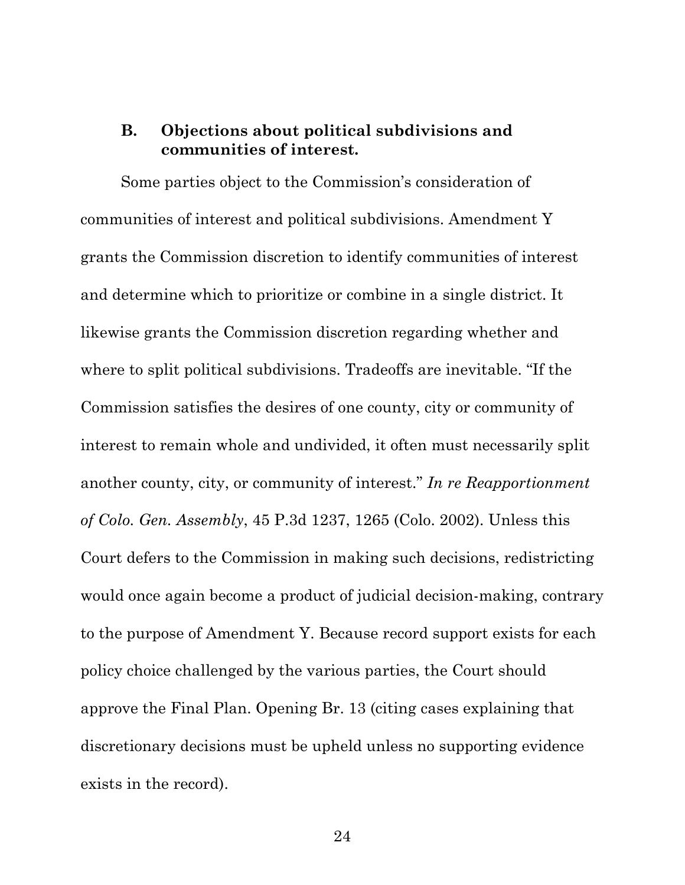## **B. Objections about political subdivisions and communities of interest.**

Some parties object to the Commission's consideration of communities of interest and political subdivisions. Amendment Y grants the Commission discretion to identify communities of interest and determine which to prioritize or combine in a single district. It likewise grants the Commission discretion regarding whether and where to split political subdivisions. Tradeoffs are inevitable. "If the Commission satisfies the desires of one county, city or community of interest to remain whole and undivided, it often must necessarily split another county, city, or community of interest." *In re Reapportionment of Colo. Gen. Assembly*, 45 P.3d 1237, 1265 (Colo. 2002). Unless this Court defers to the Commission in making such decisions, redistricting would once again become a product of judicial decision-making, contrary to the purpose of Amendment Y. Because record support exists for each policy choice challenged by the various parties, the Court should approve the Final Plan. Opening Br. 13 (citing cases explaining that discretionary decisions must be upheld unless no supporting evidence exists in the record).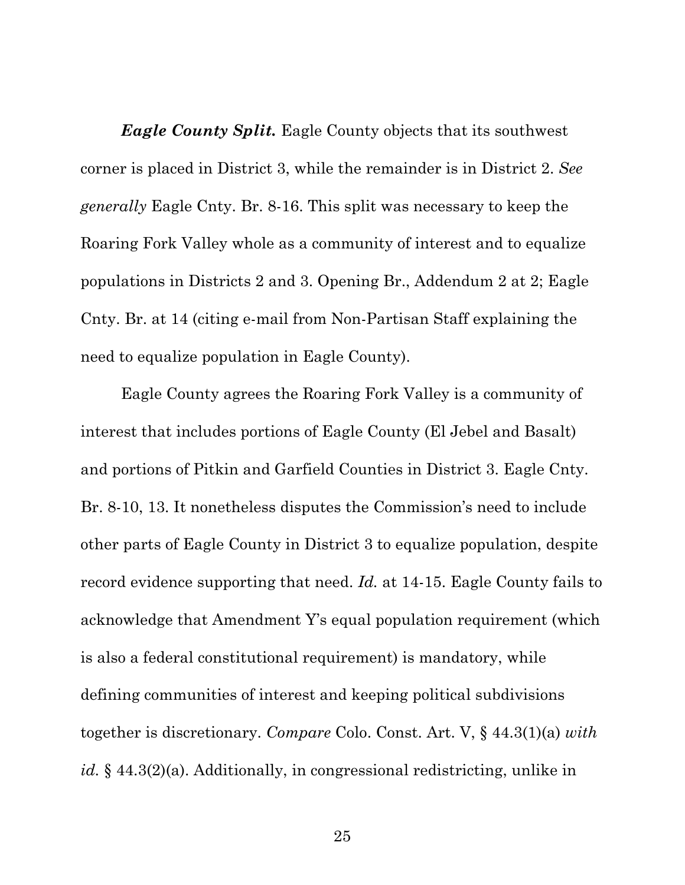*Eagle County Split.* Eagle County objects that its southwest corner is placed in District 3, while the remainder is in District 2. *See generally* Eagle Cnty. Br. 8-16. This split was necessary to keep the Roaring Fork Valley whole as a community of interest and to equalize populations in Districts 2 and 3. Opening Br., Addendum 2 at 2; Eagle Cnty. Br. at 14 (citing e-mail from Non-Partisan Staff explaining the need to equalize population in Eagle County).

Eagle County agrees the Roaring Fork Valley is a community of interest that includes portions of Eagle County (El Jebel and Basalt) and portions of Pitkin and Garfield Counties in District 3. Eagle Cnty. Br. 8-10, 13. It nonetheless disputes the Commission's need to include other parts of Eagle County in District 3 to equalize population, despite record evidence supporting that need. *Id.* at 14-15. Eagle County fails to acknowledge that Amendment Y's equal population requirement (which is also a federal constitutional requirement) is mandatory, while defining communities of interest and keeping political subdivisions together is discretionary. *Compare* Colo. Const. Art. V, § 44.3(1)(a) *with id.* § 44.3(2)(a). Additionally, in congressional redistricting, unlike in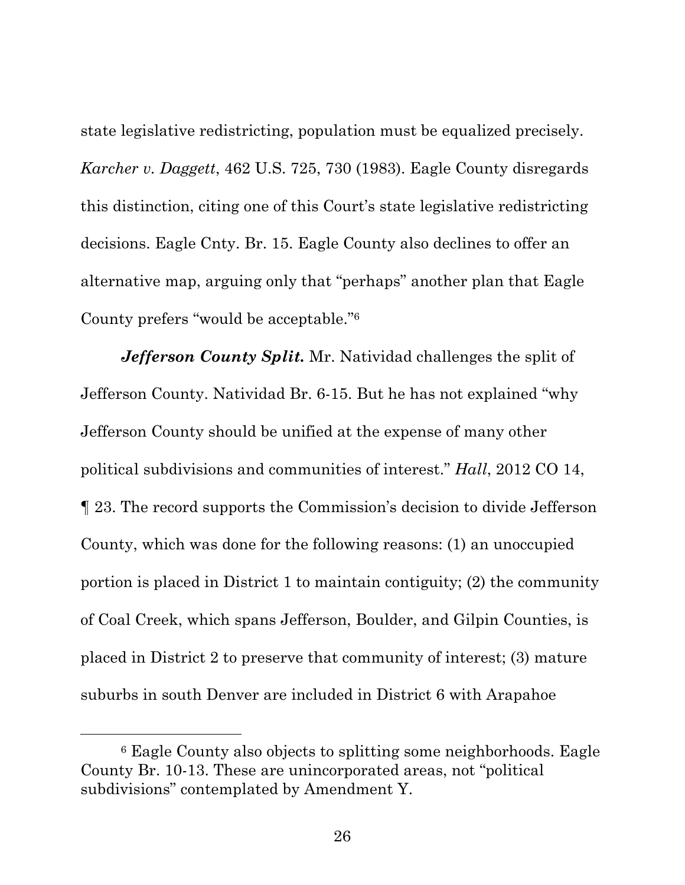state legislative redistricting, population must be equalized precisely. *Karcher v. Daggett*, 462 U.S. 725, 730 (1983). Eagle County disregards this distinction, citing one of this Court's state legislative redistricting decisions. Eagle Cnty. Br. 15. Eagle County also declines to offer an alternative map, arguing only that "perhaps" another plan that Eagle County prefers "would be acceptable."6

*Jefferson County Split.* Mr. Natividad challenges the split of Jefferson County. Natividad Br. 6-15. But he has not explained "why Jefferson County should be unified at the expense of many other political subdivisions and communities of interest." *Hall*, 2012 CO 14, ¶ 23. The record supports the Commission's decision to divide Jefferson County, which was done for the following reasons: (1) an unoccupied portion is placed in District 1 to maintain contiguity; (2) the community of Coal Creek, which spans Jefferson, Boulder, and Gilpin Counties, is placed in District 2 to preserve that community of interest; (3) mature suburbs in south Denver are included in District 6 with Arapahoe

 <sup>6</sup> Eagle County also objects to splitting some neighborhoods. Eagle County Br. 10-13. These are unincorporated areas, not "political subdivisions" contemplated by Amendment Y.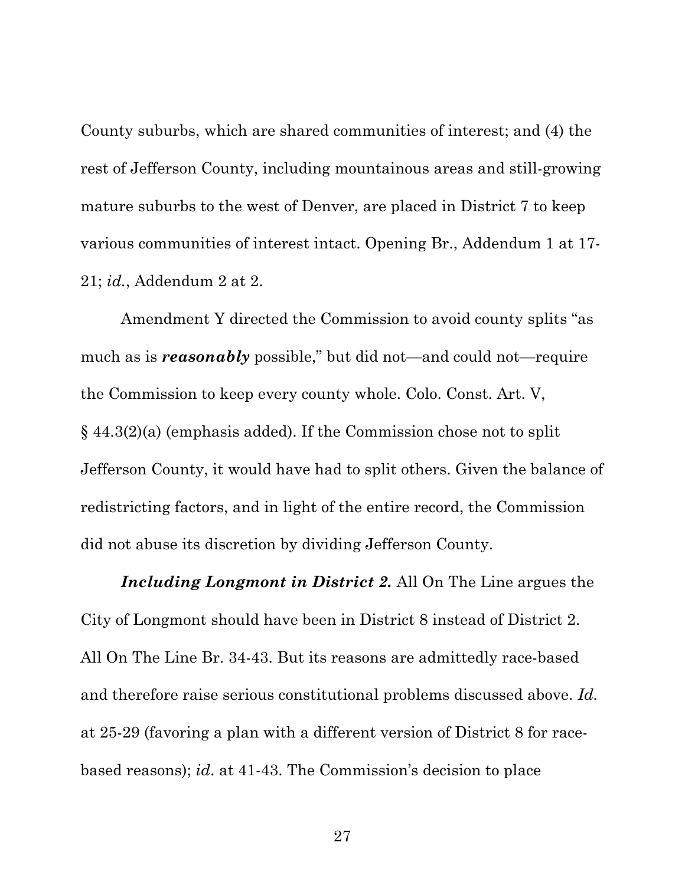County suburbs, which are shared communities of interest; and (4) the rest of Jefferson County, including mountainous areas and still-growing mature suburbs to the west of Denver, are placed in District 7 to keep various communities of interest intact. Opening Br., Addendum 1 at 17- 21; *id.*, Addendum 2 at 2.

Amendment Y directed the Commission to avoid county splits "as much as is *reasonably* possible," but did not—and could not—require the Commission to keep every county whole. Colo. Const. Art. V, § 44.3(2)(a) (emphasis added). If the Commission chose not to split Jefferson County, it would have had to split others. Given the balance of redistricting factors, and in light of the entire record, the Commission did not abuse its discretion by dividing Jefferson County.

*Including Longmont in District 2.* All On The Line argues the City of Longmont should have been in District 8 instead of District 2. All On The Line Br. 34-43. But its reasons are admittedly race-based and therefore raise serious constitutional problems discussed above. *Id.*  at 25-29 (favoring a plan with a different version of District 8 for racebased reasons); *id*. at 41-43. The Commission's decision to place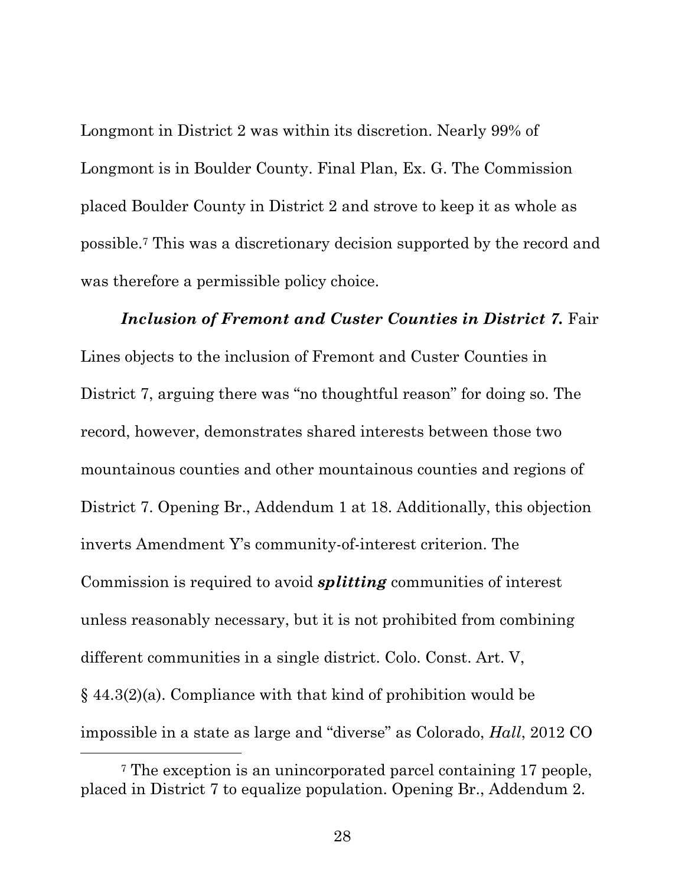Longmont in District 2 was within its discretion. Nearly 99% of Longmont is in Boulder County. Final Plan, Ex. G. The Commission placed Boulder County in District 2 and strove to keep it as whole as possible.7 This was a discretionary decision supported by the record and was therefore a permissible policy choice.

*Inclusion of Fremont and Custer Counties in District 7.* Fair Lines objects to the inclusion of Fremont and Custer Counties in District 7, arguing there was "no thoughtful reason" for doing so. The record, however, demonstrates shared interests between those two mountainous counties and other mountainous counties and regions of District 7. Opening Br., Addendum 1 at 18. Additionally, this objection inverts Amendment Y's community-of-interest criterion. The Commission is required to avoid *splitting* communities of interest unless reasonably necessary, but it is not prohibited from combining different communities in a single district. Colo. Const. Art. V, § 44.3(2)(a). Compliance with that kind of prohibition would be impossible in a state as large and "diverse" as Colorado, *Hall*, 2012 CO

 <sup>7</sup> The exception is an unincorporated parcel containing 17 people, placed in District 7 to equalize population. Opening Br., Addendum 2.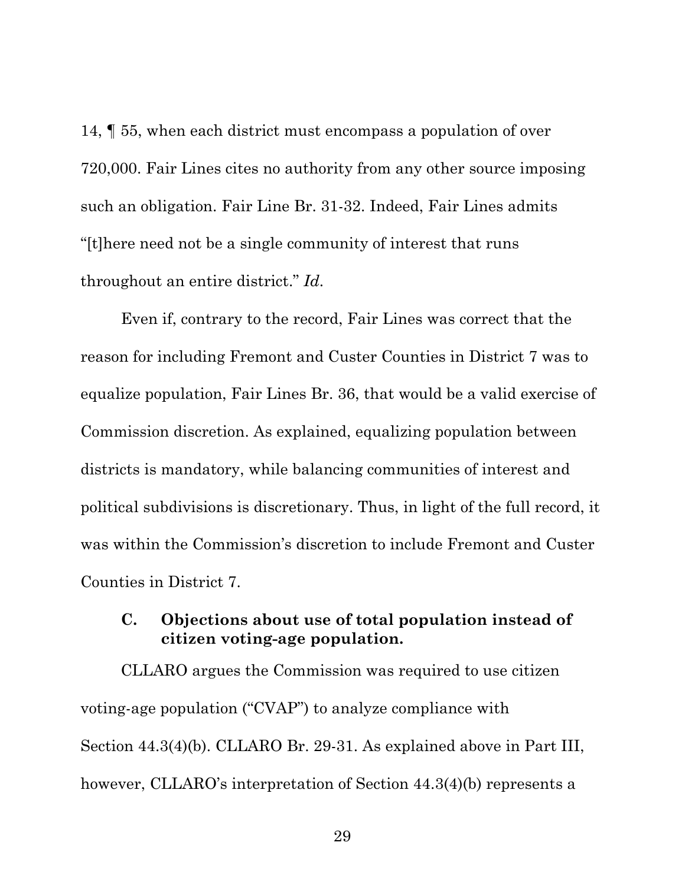14, ¶ 55, when each district must encompass a population of over 720,000. Fair Lines cites no authority from any other source imposing such an obligation. Fair Line Br. 31-32. Indeed, Fair Lines admits "[t]here need not be a single community of interest that runs throughout an entire district." *Id*.

Even if, contrary to the record, Fair Lines was correct that the reason for including Fremont and Custer Counties in District 7 was to equalize population, Fair Lines Br. 36, that would be a valid exercise of Commission discretion. As explained, equalizing population between districts is mandatory, while balancing communities of interest and political subdivisions is discretionary. Thus, in light of the full record, it was within the Commission's discretion to include Fremont and Custer Counties in District 7.

#### **C. Objections about use of total population instead of citizen voting-age population.**

CLLARO argues the Commission was required to use citizen voting-age population ("CVAP") to analyze compliance with Section 44.3(4)(b). CLLARO Br. 29-31. As explained above in Part III, however, CLLARO's interpretation of Section 44.3(4)(b) represents a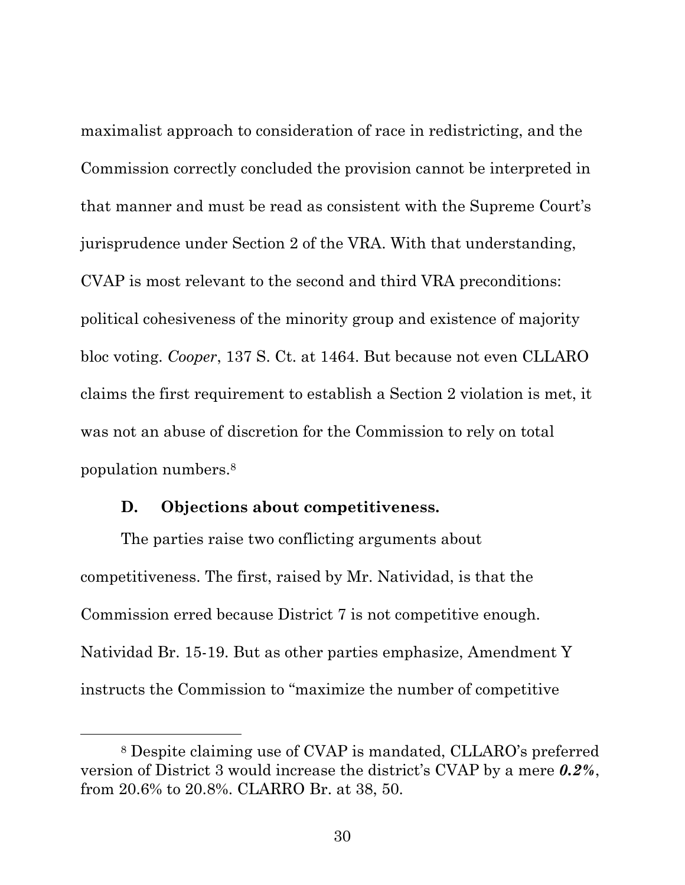maximalist approach to consideration of race in redistricting, and the Commission correctly concluded the provision cannot be interpreted in that manner and must be read as consistent with the Supreme Court's jurisprudence under Section 2 of the VRA. With that understanding, CVAP is most relevant to the second and third VRA preconditions: political cohesiveness of the minority group and existence of majority bloc voting. *Cooper*, 137 S. Ct. at 1464. But because not even CLLARO claims the first requirement to establish a Section 2 violation is met, it was not an abuse of discretion for the Commission to rely on total population numbers.8

#### **D. Objections about competitiveness.**

The parties raise two conflicting arguments about competitiveness. The first, raised by Mr. Natividad, is that the Commission erred because District 7 is not competitive enough. Natividad Br. 15-19. But as other parties emphasize, Amendment Y instructs the Commission to "maximize the number of competitive

 <sup>8</sup> Despite claiming use of CVAP is mandated, CLLARO's preferred version of District 3 would increase the district's CVAP by a mere *0.2%*, from 20.6% to 20.8%. CLARRO Br. at 38, 50.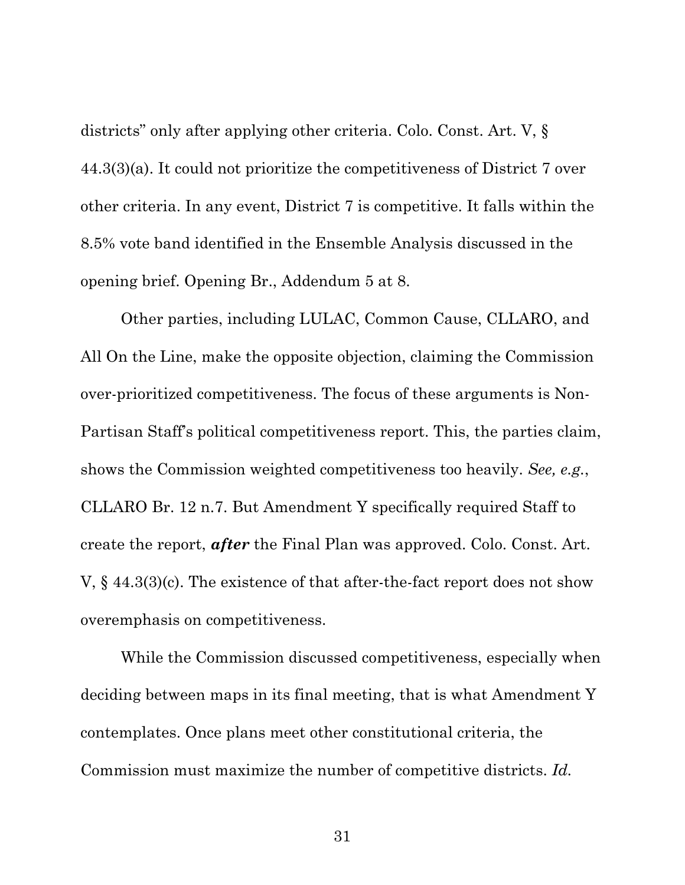districts" only after applying other criteria. Colo. Const. Art. V, § 44.3(3)(a). It could not prioritize the competitiveness of District 7 over other criteria. In any event, District 7 is competitive. It falls within the 8.5% vote band identified in the Ensemble Analysis discussed in the opening brief. Opening Br., Addendum 5 at 8.

Other parties, including LULAC, Common Cause, CLLARO, and All On the Line, make the opposite objection, claiming the Commission over-prioritized competitiveness. The focus of these arguments is Non-Partisan Staff's political competitiveness report. This, the parties claim, shows the Commission weighted competitiveness too heavily. *See, e.g.*, CLLARO Br. 12 n.7. But Amendment Y specifically required Staff to create the report, *after* the Final Plan was approved. Colo. Const. Art. V, § 44.3(3)(c). The existence of that after-the-fact report does not show overemphasis on competitiveness.

While the Commission discussed competitiveness, especially when deciding between maps in its final meeting, that is what Amendment Y contemplates. Once plans meet other constitutional criteria, the Commission must maximize the number of competitive districts. *Id.*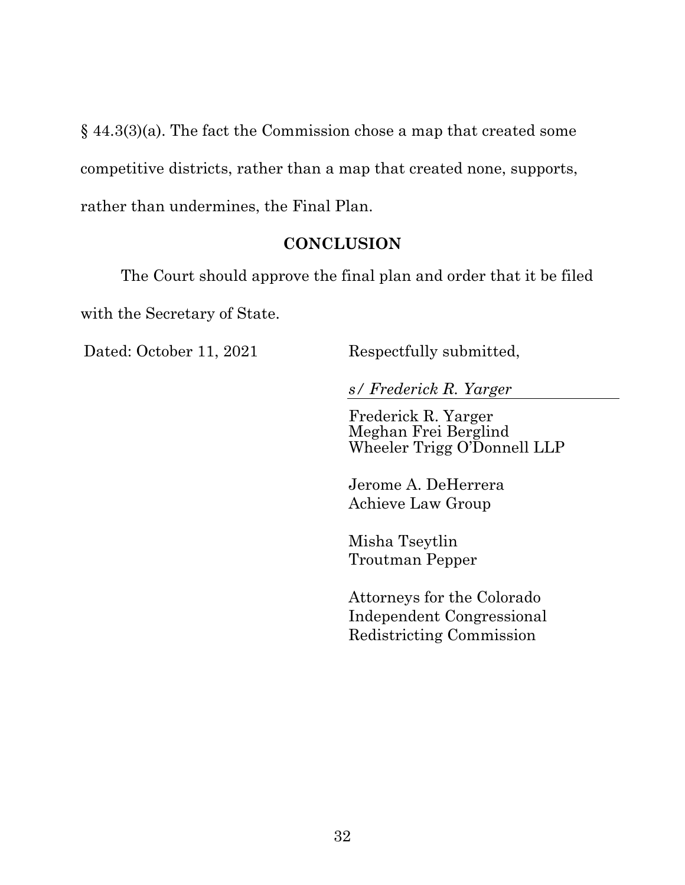§ 44.3(3)(a). The fact the Commission chose a map that created some competitive districts, rather than a map that created none, supports, rather than undermines, the Final Plan.

#### **CONCLUSION**

The Court should approve the final plan and order that it be filed with the Secretary of State.

Dated: October 11, 2021 Respectfully submitted,

*s/ Frederick R. Yarger* 

Frederick R. Yarger Meghan Frei Berglind Wheeler Trigg O'Donnell LLP

 Jerome A. DeHerrera Achieve Law Group

 Misha Tseytlin Troutman Pepper

 Attorneys for the Colorado Independent Congressional Redistricting Commission